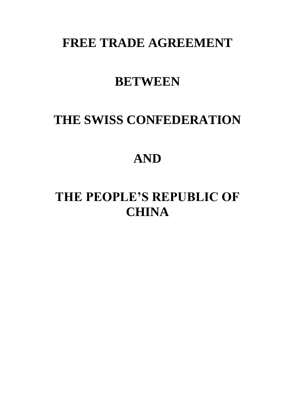# **FREE TRADE AGREEMENT**

# **BETWEEN**

# **THE SWISS CONFEDERATION**

# **AND**

# **THE PEOPLE'S REPUBLIC OF CHINA**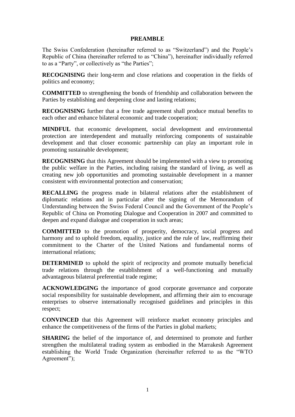## **PREAMBLE**

The Swiss Confederation (hereinafter referred to as "Switzerland") and the People's Republic of China (hereinafter referred to as "China"), hereinafter individually referred to as a "Party", or collectively as "the Parties";

**RECOGNISING** their long-term and close relations and cooperation in the fields of politics and economy;

**COMMITTED** to strengthening the bonds of friendship and collaboration between the Parties by establishing and deepening close and lasting relations;

**RECOGNISING** further that a free trade agreement shall produce mutual benefits to each other and enhance bilateral economic and trade cooperation;

**MINDFUL** that economic development, social development and environmental protection are interdependent and mutually reinforcing components of sustainable development and that closer economic partnership can play an important role in promoting sustainable development;

**RECOGNISING** that this Agreement should be implemented with a view to promoting the public welfare in the Parties, including raising the standard of living, as well as creating new job opportunities and promoting sustainable development in a manner consistent with environmental protection and conservation;

**RECALLING** the progress made in bilateral relations after the establishment of diplomatic relations and in particular after the signing of the Memorandum of Understanding between the Swiss Federal Council and the Government of the People's Republic of China on Promoting Dialogue and Cooperation in 2007 and committed to deepen and expand dialogue and cooperation in such areas;

**COMMITTED** to the promotion of prosperity, democracy, social progress and harmony and to uphold freedom, equality, justice and the rule of law, reaffirming their commitment to the Charter of the United Nations and fundamental norms of international relations;

**DETERMINED** to uphold the spirit of reciprocity and promote mutually beneficial trade relations through the establishment of a well-functioning and mutually advantageous bilateral preferential trade regime;

**ACKNOWLEDGING** the importance of good corporate governance and corporate social responsibility for sustainable development, and affirming their aim to encourage enterprises to observe internationally recognised guidelines and principles in this respect;

**CONVINCED** that this Agreement will reinforce market economy principles and enhance the competitiveness of the firms of the Parties in global markets;

**SHARING** the belief of the importance of, and determined to promote and further strengthen the multilateral trading system as embodied in the Marrakesh Agreement establishing the World Trade Organization (hereinafter referred to as the "WTO Agreement");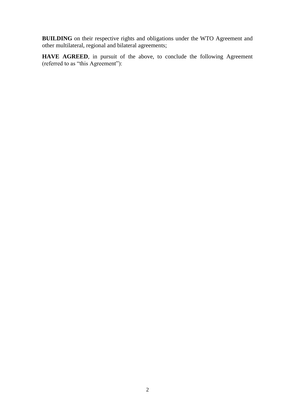**BUILDING** on their respective rights and obligations under the WTO Agreement and other multilateral, regional and bilateral agreements;

**HAVE AGREED**, in pursuit of the above, to conclude the following Agreement (referred to as "this Agreement"):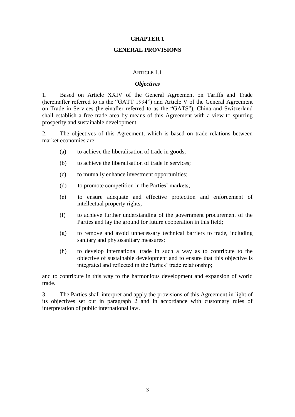## **CHAPTER 1**

## **GENERAL PROVISIONS**

## ARTICLE 1.1

## *Objectives*

1. Based on Article XXIV of the General Agreement on Tariffs and Trade (hereinafter referred to as the "GATT 1994") and Article V of the General Agreement on Trade in Services (hereinafter referred to as the "GATS"), China and Switzerland shall establish a free trade area by means of this Agreement with a view to spurring prosperity and sustainable development.

2. The objectives of this Agreement, which is based on trade relations between market economies are:

- (a) to achieve the liberalisation of trade in goods;
- (b) to achieve the liberalisation of trade in services;
- (c) to mutually enhance investment opportunities;
- (d) to promote competition in the Parties' markets;
- (e) to ensure adequate and effective protection and enforcement of intellectual property rights;
- (f) to achieve further understanding of the government procurement of the Parties and lay the ground for future cooperation in this field;
- (g) to remove and avoid unnecessary technical barriers to trade, including sanitary and phytosanitary measures;
- (h) to develop international trade in such a way as to contribute to the objective of sustainable development and to ensure that this objective is integrated and reflected in the Parties' trade relationship;

and to contribute in this way to the harmonious development and expansion of world trade.

3. The Parties shall interpret and apply the provisions of this Agreement in light of its objectives set out in paragraph 2 and in accordance with customary rules of interpretation of public international law.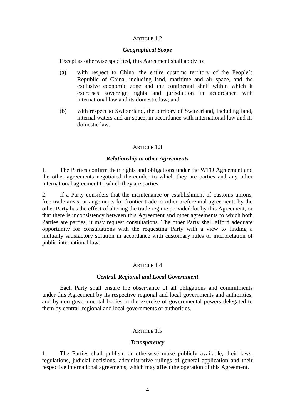## ARTICLE 1.2

## *Geographical Scope*

Except as otherwise specified, this Agreement shall apply to:

- (a) with respect to China, the entire customs territory of the People's Republic of China, including land, maritime and air space, and the exclusive economic zone and the continental shelf within which it exercises sovereign rights and jurisdiction in accordance with international law and its domestic law; and
- (b) with respect to Switzerland, the territory of Switzerland, including land, internal waters and air space, in accordance with international law and its domestic law.

## ARTICLE 1.3

## *Relationship to other Agreements*

1. The Parties confirm their rights and obligations under the WTO Agreement and the other agreements negotiated thereunder to which they are parties and any other international agreement to which they are parties.

2. If a Party considers that the maintenance or establishment of customs unions, free trade areas, arrangements for frontier trade or other preferential agreements by the other Party has the effect of altering the trade regime provided for by this Agreement, or that there is inconsistency between this Agreement and other agreements to which both Parties are parties, it may request consultations. The other Party shall afford adequate opportunity for consultations with the requesting Party with a view to finding a mutually satisfactory solution in accordance with customary rules of interpretation of public international law.

## ARTICLE 1.4

#### *Central, Regional and Local Government*

Each Party shall ensure the observance of all obligations and commitments under this Agreement by its respective regional and local governments and authorities, and by non-governmental bodies in the exercise of governmental powers delegated to them by central, regional and local governments or authorities.

## ARTICLE 1.5

#### *Transparency*

1. The Parties shall publish, or otherwise make publicly available, their laws, regulations, judicial decisions, administrative rulings of general application and their respective international agreements, which may affect the operation of this Agreement.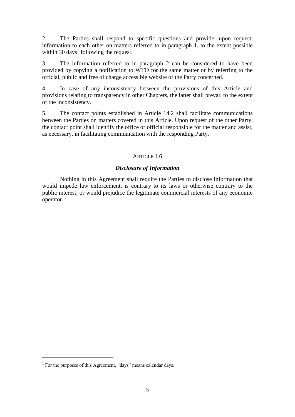2. The Parties shall respond to specific questions and provide, upon request, information to each other on matters referred to in paragraph 1, to the extent possible within 30 days<sup>1</sup> following the request.

3. The information referred to in paragraph 2 can be considered to have been provided by copying a notification to WTO for the same matter or by referring to the official, public and free of charge accessible website of the Party concerned.

4. In case of any inconsistency between the provisions of this Article and provisions relating to transparency in other Chapters, the latter shall prevail to the extent of the inconsistency.

5. The contact points established in Article 14.2 shall facilitate communications between the Parties on matters covered in this Article. Upon request of the other Party, the contact point shall identify the office or official responsible for the matter and assist, as necessary, in facilitating communication with the responding Party.

# ARTICLE 1.6

# *Disclosure of Information*

Nothing in this Agreement shall require the Parties to disclose information that would impede law enforcement, is contrary to its laws or otherwise contrary to the public interest, or would prejudice the legitimate commercial interests of any economic operator.

-

<sup>1</sup> For the purposes of this Agreement, "days" means calendar days*.*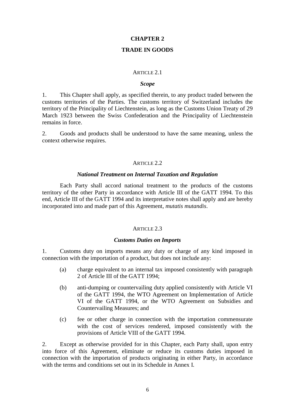## **CHAPTER 2**

#### **TRADE IN GOODS**

#### ARTICLE 2.1

## *Scope*

1. This Chapter shall apply, as specified therein, to any product traded between the customs territories of the Parties. The customs territory of Switzerland includes the territory of the Principality of Liechtenstein, as long as the Customs Union Treaty of 29 March 1923 between the Swiss Confederation and the Principality of Liechtenstein remains in force.

2. Goods and products shall be understood to have the same meaning, unless the context otherwise requires.

#### ARTICLE 2.2

#### *National Treatment on Internal Taxation and Regulation*

Each Party shall accord national treatment to the products of the customs territory of the other Party in accordance with Article III of the GATT 1994. To this end, Article III of the GATT 1994 and its interpretative notes shall apply and are hereby incorporated into and made part of this Agreement, *mutatis mutandis*.

### ARTICLE 2.3

#### *Customs Duties on Imports*

1. Customs duty on imports means any duty or charge of any kind imposed in connection with the importation of a product, but does not include any:

- (a) charge equivalent to an internal tax imposed consistently with paragraph 2 of Article III of the GATT 1994;
- (b) anti-dumping or countervailing duty applied consistently with Article VI of the GATT 1994, the WTO Agreement on Implementation of Article VI of the GATT 1994, or the WTO Agreement on Subsidies and Countervailing Measures; and
- (c) fee or other charge in connection with the importation commensurate with the cost of services rendered, imposed consistently with the provisions of Article VIII of the GATT 1994.

2. Except as otherwise provided for in this Chapter, each Party shall, upon entry into force of this Agreement, eliminate or reduce its customs duties imposed in connection with the importation of products originating in either Party, in accordance with the terms and conditions set out in its Schedule in Annex I.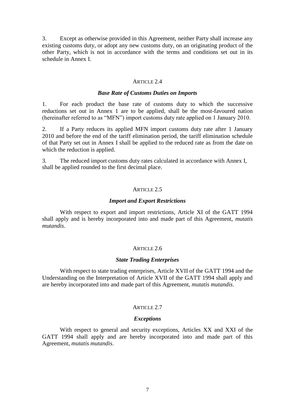3. Except as otherwise provided in this Agreement, neither Party shall increase any existing customs duty, or adopt any new customs duty, on an originating product of the other Party, which is not in accordance with the terms and conditions set out in its schedule in Annex I.

#### ARTICLE 2.4

#### *Base Rate of Customs Duties on Imports*

1. For each product the base rate of customs duty to which the successive reductions set out in Annex 1 are to be applied, shall be the most-favoured nation (hereinafter referred to as "MFN") import customs duty rate applied on 1 January 2010.

2. If a Party reduces its applied MFN import customs duty rate after 1 January 2010 and before the end of the tariff elimination period, the tariff elimination schedule of that Party set out in Annex I shall be applied to the reduced rate as from the date on which the reduction is applied.

3. The reduced import customs duty rates calculated in accordance with Annex I, shall be applied rounded to the first decimal place.

#### ARTICLE 2.5

#### *Import and Export Restrictions*

With respect to export and import restrictions, Article XI of the GATT 1994 shall apply and is hereby incorporated into and made part of this Agreement, *mutatis mutandis*.

#### ARTICLE 2.6

#### *State Trading Enterprises*

With respect to state trading enterprises, Article XVII of the GATT 1994 and the Understanding on the Interpretation of Article XVII of the GATT 1994 shall apply and are hereby incorporated into and made part of this Agreement, *mutatis mutandis*.

## ARTICLE 2.7

#### *Exceptions*

With respect to general and security exceptions, Articles XX and XXI of the GATT 1994 shall apply and are hereby incorporated into and made part of this Agreement, *mutatis mutandis*.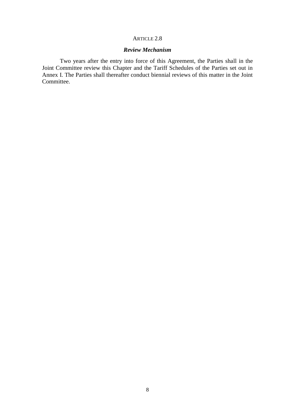# ARTICLE 2.8

# *Review Mechanism*

Two years after the entry into force of this Agreement, the Parties shall in the Joint Committee review this Chapter and the Tariff Schedules of the Parties set out in Annex I. The Parties shall thereafter conduct biennial reviews of this matter in the Joint Committee.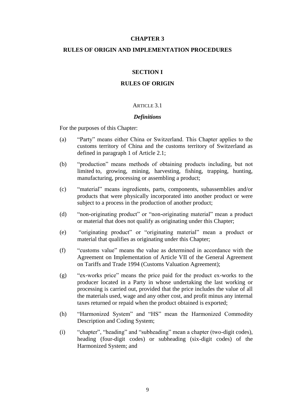## **CHAPTER 3**

## **RULES OF ORIGIN AND IMPLEMENTATION PROCEDURES**

## **SECTION I**

#### **RULES OF ORIGIN**

#### ARTICLE 3.1

#### *Definitions*

For the purposes of this Chapter:

- (a) "Party" means either China or Switzerland. This Chapter applies to the customs territory of China and the customs territory of Switzerland as defined in paragraph 1 of Article 2.1;
- (b) "production" means methods of obtaining products including, but not limited to, growing, mining, harvesting, fishing, trapping, hunting, manufacturing, processing or assembling a product;
- (c) "material" means ingredients, parts, components, subassemblies and/or products that were physically incorporated into another product or were subject to a process in the production of another product;
- (d) "non-originating product" or "non-originating material" mean a product or material that does not qualify as originating under this Chapter;
- (e) "originating product" or "originating material" mean a product or material that qualifies as originating under this Chapter;
- (f) "customs value" means the value as determined in accordance with the Agreement on Implementation of Article VII of the General Agreement on Tariffs and Trade 1994 (Customs Valuation Agreement);
- (g) "ex-works price" means the price paid for the product ex-works to the producer located in a Party in whose undertaking the last working or processing is carried out, provided that the price includes the value of all the materials used, wage and any other cost, and profit minus any internal taxes returned or repaid when the product obtained is exported;
- (h) "Harmonized System" and "HS" mean the Harmonized Commodity Description and Coding System;
- (i) "chapter", "heading" and "subheading" mean a chapter (two-digit codes), heading (four-digit codes) or subheading (six-digit codes) of the Harmonized System; and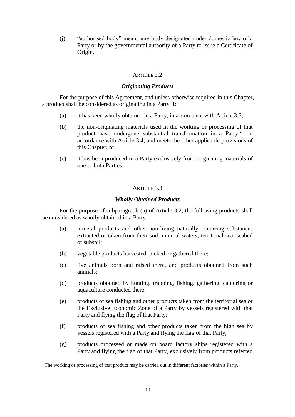(j) "authorised body" means any body designated under domestic law of a Party or by the governmental authority of a Party to issue a Certificate of Origin.

# ARTICLE 3.2

## *Originating Products*

For the purpose of this Agreement, and unless otherwise required in this Chapter, a product shall be considered as originating in a Party if:

- (a) it has been wholly obtained in a Party, in accordance with Article 3.3;
- (b) the non-originating materials used in the working or processing of that product have undergone substantial transformation in a Party<sup>2</sup>, in accordance with Article 3.4, and meets the other applicable provisions of this Chapter; or
- (c) it has been produced in a Party exclusively from originating materials of one or both Parties.

# ARTICLE 3.3

## *Wholly Obtained Products*

For the purpose of subparagraph (a) of Article 3.2, the following products shall be considered as wholly obtained in a Party:

- (a) mineral products and other non-living naturally occurring substances extracted or taken from their soil, internal waters, territorial sea, seabed or subsoil;
- (b) vegetable products harvested, picked or gathered there;
- (c) live animals born and raised there, and products obtained from such animals;
- (d) products obtained by hunting, trapping, fishing, gathering, capturing or aquaculture conducted there;
- (e) products of sea fishing and other products taken from the territorial sea or the Exclusive Economic Zone of a Party by vessels registered with that Party and flying the flag of that Party;
- (f) products of sea fishing and other products taken from the high sea by vessels registered with a Party and flying the flag of that Party;
- (g) products processed or made on board factory ships registered with a Party and flying the flag of that Party, exclusively from products referred

-

<sup>&</sup>lt;sup>2</sup> The working or processing of that product may be carried out in different factories within a Party.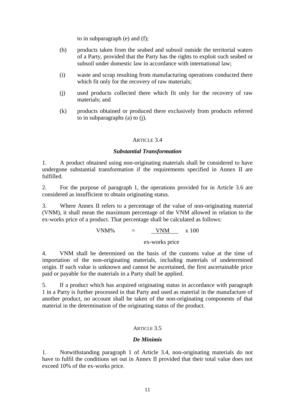to in subparagraph (e) and (f);

- (h) products taken from the seabed and subsoil outside the territorial waters of a Party, provided that the Party has the rights to exploit such seabed or subsoil under domestic law in accordance with international law;
- (i) waste and scrap resulting from manufacturing operations conducted there which fit only for the recovery of raw materials;
- (j) used products collected there which fit only for the recovery of raw materials; and
- (k) products obtained or produced there exclusively from products referred to in subparagraphs (a) to (j).

# ARTICLE 3.4

## *Substantial Transformation*

1. A product obtained using non-originating materials shall be considered to have undergone substantial transformation if the requirements specified in Annex II are fulfilled.

2. For the purpose of paragraph 1, the operations provided for in Article 3.6 are considered as insufficient to obtain originating status.

3. Where Annex II refers to a percentage of the value of non-originating material (VNM), it shall mean the maximum percentage of the VNM allowed in relation to the ex-works price of a product. That percentage shall be calculated as follows:

 $VNM\%$  =  $VNM$  x 100

ex-works price

4. VNM shall be determined on the basis of the customs value at the time of importation of the non-originating materials, including materials of undetermined origin. If such value is unknown and cannot be ascertained, the first ascertainable price paid or payable for the materials in a Party shall be applied.

5. If a product which has acquired originating status in accordance with paragraph 1 in a Party is further processed in that Party and used as material in the manufacture of another product, no account shall be taken of the non-originating components of that material in the determination of the originating status of the product.

## ARTICLE 3.5

## *De Minimis*

1. Notwithstanding paragraph 1 of Article 3.4, non-originating materials do not have to fulfil the conditions set out in Annex II provided that their total value does not exceed 10% of the ex-works price.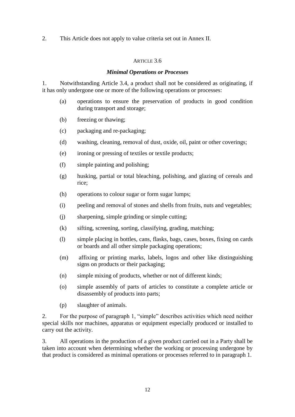# 2. This Article does not apply to value criteria set out in Annex II.

## ARTICLE 3.6

## *Minimal Operations or Processes*

1. Notwithstanding Article 3.4, a product shall not be considered as originating, if it has only undergone one or more of the following operations or processes:

- (a) operations to ensure the preservation of products in good condition during transport and storage;
- (b) freezing or thawing;
- (c) packaging and re-packaging;
- (d) washing, cleaning, removal of dust, oxide, oil, paint or other coverings;
- (e) ironing or pressing of textiles or textile products;
- (f) simple painting and polishing;
- (g) husking, partial or total bleaching, polishing, and glazing of cereals and rice;
- (h) operations to colour sugar or form sugar lumps;
- (i) peeling and removal of stones and shells from fruits, nuts and vegetables;
- (j) sharpening, simple grinding or simple cutting;
- (k) sifting, screening, sorting, classifying, grading, matching;
- (l) simple placing in bottles, cans, flasks, bags, cases, boxes, fixing on cards or boards and all other simple packaging operations;
- (m) affixing or printing marks, labels, logos and other like distinguishing signs on products or their packaging;
- (n) simple mixing of products, whether or not of different kinds;
- (o) simple assembly of parts of articles to constitute a complete article or disassembly of products into parts;
- (p) slaughter of animals.

2. For the purpose of paragraph 1, "simple" describes activities which need neither special skills nor machines, apparatus or equipment especially produced or installed to carry out the activity.

3. All operations in the production of a given product carried out in a Party shall be taken into account when determining whether the working or processing undergone by that product is considered as minimal operations or processes referred to in paragraph 1.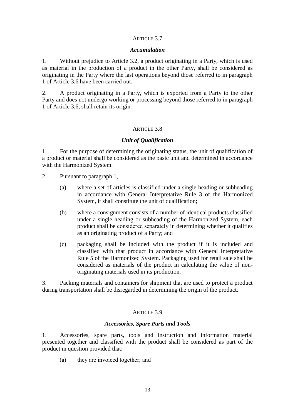## ARTICLE 3.7

#### *Accumulation*

1. Without prejudice to Article 3.2, a product originating in a Party, which is used as material in the production of a product in the other Party, shall be considered as originating in the Party where the last operations beyond those referred to in paragraph 1 of Article 3.6 have been carried out.

2. A product originating in a Party, which is exported from a Party to the other Party and does not undergo working or processing beyond those referred to in paragraph 1 of Article 3.6, shall retain its origin.

## ARTICLE 3.8

## *Unit of Qualification*

1. For the purpose of determining the originating status, the unit of qualification of a product or material shall be considered as the basic unit and determined in accordance with the Harmonized System.

- 2. Pursuant to paragraph 1,
	- (a) where a set of articles is classified under a single heading or subheading in accordance with General Interpretative Rule 3 of the Harmonized System, it shall constitute the unit of qualification;
	- (b) where a consignment consists of a number of identical products classified under a single heading or subheading of the Harmonized System, each product shall be considered separately in determining whether it qualifies as an originating product of a Party; and
	- (c) packaging shall be included with the product if it is included and classified with that product in accordance with General Interpretative Rule 5 of the Harmonized System. Packaging used for retail sale shall be considered as materials of the product in calculating the value of nonoriginating materials used in its production.

3. Packing materials and containers for shipment that are used to protect a product during transportation shall be disregarded in determining the origin of the product.

#### ARTICLE 3.9

#### *Accessories, Spare Parts and Tools*

1. Accessories, spare parts, tools and instruction and information material presented together and classified with the product shall be considered as part of the product in question provided that:

(a) they are invoiced together; and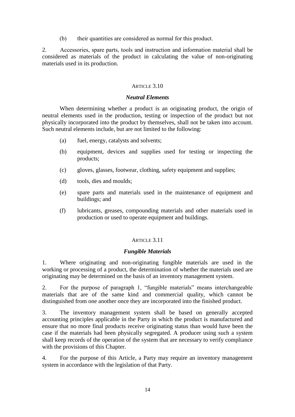(b) their quantities are considered as normal for this product.

2. Accessories, spare parts, tools and instruction and information material shall be considered as materials of the product in calculating the value of non-originating materials used in its production.

## ARTICLE 3.10

## *Neutral Elements*

When determining whether a product is an originating product, the origin of neutral elements used in the production, testing or inspection of the product but not physically incorporated into the product by themselves, shall not be taken into account. Such neutral elements include, but are not limited to the following:

- (a) fuel, energy, catalysts and solvents;
- (b) equipment, devices and supplies used for testing or inspecting the products;
- (c) gloves, glasses, footwear, clothing, safety equipment and supplies;
- (d) tools, dies and moulds;
- (e) spare parts and materials used in the maintenance of equipment and buildings; and
- (f) lubricants, greases, compounding materials and other materials used in production or used to operate equipment and buildings.

## ARTICLE 3.11

## *Fungible Materials*

1. Where originating and non-originating fungible materials are used in the working or processing of a product, the determination of whether the materials used are originating may be determined on the basis of an inventory management system.

2. For the purpose of paragraph 1, "fungible materials" means interchangeable materials that are of the same kind and commercial quality, which cannot be distinguished from one another once they are incorporated into the finished product.

3. The inventory management system shall be based on generally accepted accounting principles applicable in the Party in which the product is manufactured and ensure that no more final products receive originating status than would have been the case if the materials had been physically segregated. A producer using such a system shall keep records of the operation of the system that are necessary to verify compliance with the provisions of this Chapter.

4. For the purpose of this Article, a Party may require an inventory management system in accordance with the legislation of that Party.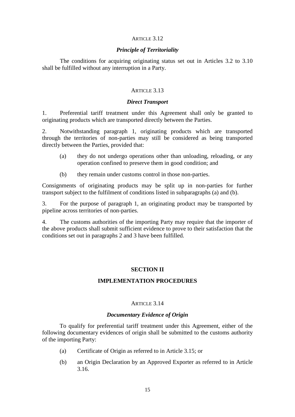#### ARTICLE 3.12

## *Principle of Territoriality*

The conditions for acquiring originating status set out in Articles 3.2 to 3.10 shall be fulfilled without any interruption in a Party.

## ARTICLE 3.13

#### *Direct Transport*

1. Preferential tariff treatment under this Agreement shall only be granted to originating products which are transported directly between the Parties.

2. Notwithstanding paragraph 1, originating products which are transported through the territories of non-parties may still be considered as being transported directly between the Parties, provided that:

- (a) they do not undergo operations other than unloading, reloading, or any operation confined to preserve them in good condition; and
- (b) they remain under customs control in those non-parties.

Consignments of originating products may be split up in non-parties for further transport subject to the fulfilment of conditions listed in subparagraphs (a) and (b).

3. For the purpose of paragraph 1, an originating product may be transported by pipeline across territories of non-parties.

4. The customs authorities of the importing Party may require that the importer of the above products shall submit sufficient evidence to prove to their satisfaction that the conditions set out in paragraphs 2 and 3 have been fulfilled.

## **SECTION II**

# **IMPLEMENTATION PROCEDURES**

#### ARTICLE 3.14

#### *Documentary Evidence of Origin*

To qualify for preferential tariff treatment under this Agreement, either of the following documentary evidences of origin shall be submitted to the customs authority of the importing Party:

- (a) Certificate of Origin as referred to in Article 3.15; or
- (b) an Origin Declaration by an Approved Exporter as referred to in Article 3.16.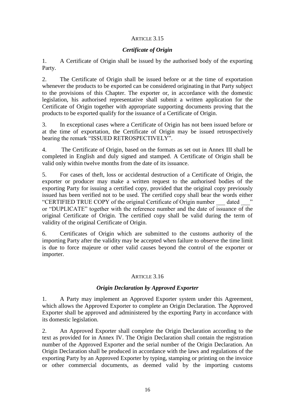# ARTICLE 3.15

# *Certificate of Origin*

1. A Certificate of Origin shall be issued by the authorised body of the exporting Party.

2. The Certificate of Origin shall be issued before or at the time of exportation whenever the products to be exported can be considered originating in that Party subject to the provisions of this Chapter. The exporter or, in accordance with the domestic legislation, his authorised representative shall submit a written application for the Certificate of Origin together with appropriate supporting documents proving that the products to be exported qualify for the issuance of a Certificate of Origin.

3. In exceptional cases where a Certificate of Origin has not been issued before or at the time of exportation, the Certificate of Origin may be issued retrospectively bearing the remark "ISSUED RETROSPECTIVELY".

4. The Certificate of Origin, based on the formats as set out in Annex III shall be completed in English and duly signed and stamped. A Certificate of Origin shall be valid only within twelve months from the date of its issuance.

5. For cases of theft, loss or accidental destruction of a Certificate of Origin, the exporter or producer may make a written request to the authorised bodies of the exporting Party for issuing a certified copy, provided that the original copy previously issued has been verified not to be used. The certified copy shall bear the words either "CERTIFIED TRUE COPY of the original Certificate of Origin number \_\_\_ dated \_\_\_" or "DUPLICATE" together with the reference number and the date of issuance of the original Certificate of Origin. The certified copy shall be valid during the term of validity of the original Certificate of Origin.

6. Certificates of Origin which are submitted to the customs authority of the importing Party after the validity may be accepted when failure to observe the time limit is due to force majeure or other valid causes beyond the control of the exporter or importer.

## ARTICLE 3.16

# *Origin Declaration by Approved Exporter*

1. A Party may implement an Approved Exporter system under this Agreement, which allows the Approved Exporter to complete an Origin Declaration. The Approved Exporter shall be approved and administered by the exporting Party in accordance with its domestic legislation.

2. An Approved Exporter shall complete the Origin Declaration according to the text as provided for in Annex IV. The Origin Declaration shall contain the registration number of the Approved Exporter and the serial number of the Origin Declaration. An Origin Declaration shall be produced in accordance with the laws and regulations of the exporting Party by an Approved Exporter by typing, stamping or printing on the invoice or other commercial documents, as deemed valid by the importing customs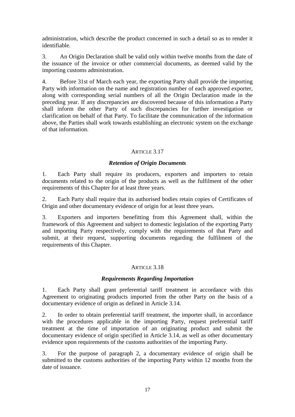administration, which describe the product concerned in such a detail so as to render it identifiable.

3. An Origin Declaration shall be valid only within twelve months from the date of the issuance of the invoice or other commercial documents, as deemed valid by the importing customs administration.

4. Before 31st of March each year, the exporting Party shall provide the importing Party with information on the name and registration number of each approved exporter, along with corresponding serial numbers of all the Origin Declaration made in the preceding year. If any discrepancies are discovered because of this information a Party shall inform the other Party of such discrepancies for further investigation or clarification on behalf of that Party. To facilitate the communication of the information above, the Parties shall work towards establishing an electronic system on the exchange of that information.

# ARTICLE 3.17

# *Retention of Origin Documents*

1. Each Party shall require its producers, exporters and importers to retain documents related to the origin of the products as well as the fulfilment of the other requirements of this Chapter for at least three years.

2. Each Party shall require that its authorised bodies retain copies of Certificates of Origin and other documentary evidence of origin for at least three years.

3. Exporters and importers benefitting from this Agreement shall, within the framework of this Agreement and subject to domestic legislation of the exporting Party and importing Party respectively, comply with the requirements of that Party and submit, at their request, supporting documents regarding the fulfilment of the requirements of this Chapter.

## ARTICLE 3.18

## *Requirements Regarding Importation*

1. Each Party shall grant preferential tariff treatment in accordance with this Agreement to originating products imported from the other Party on the basis of a documentary evidence of origin as defined in Article 3.14.

2. In order to obtain preferential tariff treatment, the importer shall, in accordance with the procedures applicable in the importing Party, request preferential tariff treatment at the time of importation of an originating product and submit the documentary evidence of origin specified in Article 3.14, as well as other documentary evidence upon requirements of the customs authorities of the importing Party.

3. For the purpose of paragraph 2, a documentary evidence of origin shall be submitted to the customs authorities of the importing Party within 12 months from the date of issuance.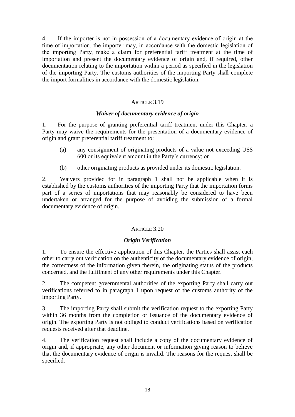4. If the importer is not in possession of a documentary evidence of origin at the time of importation, the importer may, in accordance with the domestic legislation of the importing Party, make a claim for preferential tariff treatment at the time of importation and present the documentary evidence of origin and, if required, other documentation relating to the importation within a period as specified in the legislation of the importing Party. The customs authorities of the importing Party shall complete the import formalities in accordance with the domestic legislation.

# ARTICLE 3.19

# *Waiver of documentary evidence of origin*

1. For the purpose of granting preferential tariff treatment under this Chapter, a Party may waive the requirements for the presentation of a documentary evidence of origin and grant preferential tariff treatment to:

- (a) any consignment of originating products of a value not exceeding US\$ 600 or its equivalent amount in the Party's currency; or
- (b) other originating products as provided under its domestic legislation.

2. Waivers provided for in paragraph 1 shall not be applicable when it is established by the customs authorities of the importing Party that the importation forms part of a series of importations that may reasonably be considered to have been undertaken or arranged for the purpose of avoiding the submission of a formal documentary evidence of origin.

## ARTICLE 3.20

## *Origin Verification*

1. To ensure the effective application of this Chapter, the Parties shall assist each other to carry out verification on the authenticity of the documentary evidence of origin, the correctness of the information given therein, the originating status of the products concerned, and the fulfilment of any other requirements under this Chapter.

2. The competent governmental authorities of the exporting Party shall carry out verifications referred to in paragraph 1 upon request of the customs authority of the importing Party.

3. The importing Party shall submit the verification request to the exporting Party within 36 months from the completion or issuance of the documentary evidence of origin. The exporting Party is not obliged to conduct verifications based on verification requests received after that deadline.

4. The verification request shall include a copy of the documentary evidence of origin and, if appropriate, any other document or information giving reason to believe that the documentary evidence of origin is invalid. The reasons for the request shall be specified.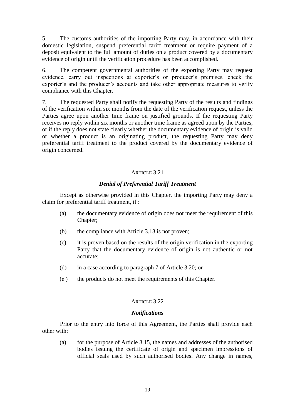5. The customs authorities of the importing Party may, in accordance with their domestic legislation, suspend preferential tariff treatment or require payment of a deposit equivalent to the full amount of duties on a product covered by a documentary evidence of origin until the verification procedure has been accomplished.

6. The competent governmental authorities of the exporting Party may request evidence, carry out inspections at exporter's or producer's premises, check the exporter's and the producer's accounts and take other appropriate measures to verify compliance with this Chapter.

7. The requested Party shall notify the requesting Party of the results and findings of the verification within six months from the date of the verification request, unless the Parties agree upon another time frame on justified grounds. If the requesting Party receives no reply within six months or another time frame as agreed upon by the Parties, or if the reply does not state clearly whether the documentary evidence of origin is valid or whether a product is an originating product, the requesting Party may deny preferential tariff treatment to the product covered by the documentary evidence of origin concerned.

## ARTICLE 3.21

# *Denial of Preferential Tariff Treatment*

Except as otherwise provided in this Chapter, the importing Party may deny a claim for preferential tariff treatment, if :

- (a) the documentary evidence of origin does not meet the requirement of this Chapter;
- (b) the compliance with Article 3.13 is not proven;
- (c) it is proven based on the results of the origin verification in the exporting Party that the documentary evidence of origin is not authentic or not accurate;
- (d) in a case according to paragraph 7 of Article 3.20; or
- (e ) the products do not meet the requirements of this Chapter.

## ARTICLE 3.22

## *Notifications*

Prior to the entry into force of this Agreement, the Parties shall provide each other with:

(a) for the purpose of Article 3.15, the names and addresses of the authorised bodies issuing the certificate of origin and specimen impressions of official seals used by such authorised bodies. Any change in names,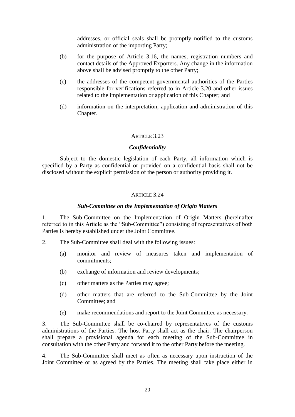addresses, or official seals shall be promptly notified to the customs administration of the importing Party;

- (b) for the purpose of Article 3.16, the names, registration numbers and contact details of the Approved Exporters. Any change in the information above shall be advised promptly to the other Party;
- (c) the addresses of the competent governmental authorities of the Parties responsible for verifications referred to in Article 3.20 and other issues related to the implementation or application of this Chapter; and
- (d) information on the interpretation, application and administration of this Chapter.

## ARTICLE 3.23

#### *Confidentiality*

Subject to the domestic legislation of each Party, all information which is specified by a Party as confidential or provided on a confidential basis shall not be disclosed without the explicit permission of the person or authority providing it.

## ARTICLE 3.24

## *Sub-Committee on the Implementation of Origin Matters*

1. The Sub-Committee on the Implementation of Origin Matters (hereinafter referred to in this Article as the "Sub-Committee") consisting of representatives of both Parties is hereby established under the Joint Committee.

- 2. The Sub-Committee shall deal with the following issues:
	- (a) monitor and review of measures taken and implementation of commitments;
	- (b) exchange of information and review developments;
	- (c) other matters as the Parties may agree;
	- (d) other matters that are referred to the Sub-Committee by the Joint Committee; and
	- (e) make recommendations and report to the Joint Committee as necessary.

3. The Sub-Committee shall be co-chaired by representatives of the customs administrations of the Parties. The host Party shall act as the chair. The chairperson shall prepare a provisional agenda for each meeting of the Sub-Committee in consultation with the other Party and forward it to the other Party before the meeting.

4. The Sub-Committee shall meet as often as necessary upon instruction of the Joint Committee or as agreed by the Parties. The meeting shall take place either in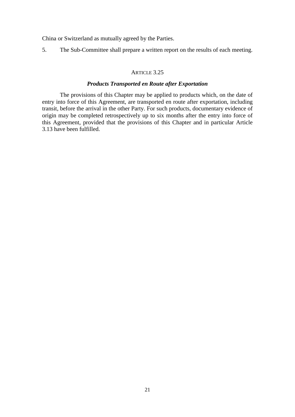China or Switzerland as mutually agreed by the Parties.

5. The Sub-Committee shall prepare a written report on the results of each meeting.

#### ARTICLE 3.25

## *Products Transported en Route after Exportation*

The provisions of this Chapter may be applied to products which, on the date of entry into force of this Agreement, are transported en route after exportation, including transit, before the arrival in the other Party. For such products, documentary evidence of origin may be completed retrospectively up to six months after the entry into force of this Agreement, provided that the provisions of this Chapter and in particular Article 3.13 have been fulfilled.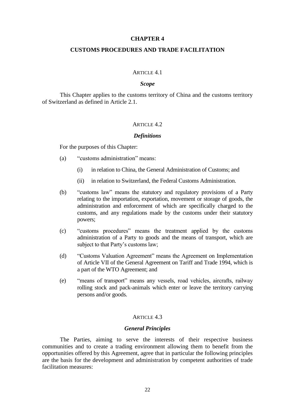#### **CHAPTER 4**

## **CUSTOMS PROCEDURES AND TRADE FACILITATION**

#### ARTICLE 4.1

## *Scope*

This Chapter applies to the customs territory of China and the customs territory of Switzerland as defined in Article 2.1.

## ARTICLE  $4.2$

#### *Definitions*

For the purposes of this Chapter:

- (a) "customs administration" means:
	- (i) in relation to China, the General Administration of Customs; and
	- (ii) in relation to Switzerland, the Federal Customs Administration.
- (b) "customs law" means the statutory and regulatory provisions of a Party relating to the importation, exportation, movement or storage of goods, the administration and enforcement of which are specifically charged to the customs, and any regulations made by the customs under their statutory powers;
- (c) "customs procedures" means the treatment applied by the customs administration of a Party to goods and the means of transport, which are subject to that Party's customs law;
- (d) "Customs Valuation Agreement" means the Agreement on Implementation of Article VII of the General Agreement on Tariff and Trade 1994, which is a part of the WTO Agreement; and
- (e) "means of transport" means any vessels, road vehicles, aircrafts, railway rolling stock and pack-animals which enter or leave the territory carrying persons and/or goods.

#### ARTICLE 4.3

## *General Principles*

The Parties, aiming to serve the interests of their respective business communities and to create a trading environment allowing them to benefit from the opportunities offered by this Agreement, agree that in particular the following principles are the basis for the development and administration by competent authorities of trade facilitation measures: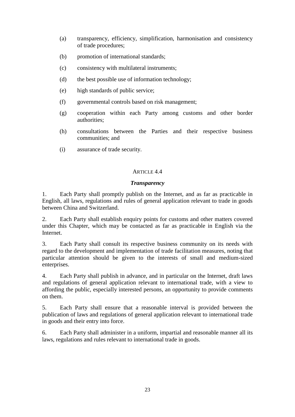- (a) transparency, efficiency, simplification, harmonisation and consistency of trade procedures;
- (b) promotion of international standards;
- (c) consistency with multilateral instruments;
- (d) the best possible use of information technology;
- (e) high standards of public service;
- (f) governmental controls based on risk management;
- (g) cooperation within each Party among customs and other border authorities;
- (h) consultations between the Parties and their respective business communities; and
- (i) assurance of trade security.

## *Transparency*

1. Each Party shall promptly publish on the Internet, and as far as practicable in English, all laws, regulations and rules of general application relevant to trade in goods between China and Switzerland.

2. Each Party shall establish enquiry points for customs and other matters covered under this Chapter, which may be contacted as far as practicable in English via the Internet.

3. Each Party shall consult its respective business community on its needs with regard to the development and implementation of trade facilitation measures, noting that particular attention should be given to the interests of small and medium-sized enterprises.

4. Each Party shall publish in advance, and in particular on the Internet, draft laws and regulations of general application relevant to international trade, with a view to affording the public, especially interested persons, an opportunity to provide comments on them.

5. Each Party shall ensure that a reasonable interval is provided between the publication of laws and regulations of general application relevant to international trade in goods and their entry into force.

6. Each Party shall administer in a uniform, impartial and reasonable manner all its laws, regulations and rules relevant to international trade in goods.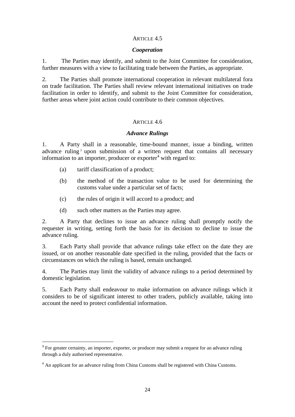## *Cooperation*

1. The Parties may identify, and submit to the Joint Committee for consideration, further measures with a view to facilitating trade between the Parties, as appropriate.

2. The Parties shall promote international cooperation in relevant multilateral fora on trade facilitation. The Parties shall review relevant international initiatives on trade facilitation in order to identify, and submit to the Joint Committee for consideration, further areas where joint action could contribute to their common objectives.

# ARTICLE 4.6

## *Advance Rulings*

1. A Party shall in a reasonable, time-bound manner, issue a binding, written advance ruling<sup>3</sup> upon submission of a written request that contains all necessary information to an importer, producer or exporter<sup>4</sup> with regard to:

- (a) tariff classification of a product;
- (b) the method of the transaction value to be used for determining the customs value under a particular set of facts;
- (c) the rules of origin it will accord to a product; and
- (d) such other matters as the Parties may agree.

2. A Party that declines to issue an advance ruling shall promptly notify the requester in writing, setting forth the basis for its decision to decline to issue the advance ruling.

3. Each Party shall provide that advance rulings take effect on the date they are issued, or on another reasonable date specified in the ruling, provided that the facts or circumstances on which the ruling is based, remain unchanged.

4. The Parties may limit the validity of advance rulings to a period determined by domestic legislation.

5. Each Party shall endeavour to make information on advance rulings which it considers to be of significant interest to other traders, publicly available, taking into account the need to protect confidential information.

<sup>&</sup>lt;sup>3</sup> For greater certainty, an importer, exporter, or producer may submit a request for an advance ruling through a duly authorised representative.

<sup>&</sup>lt;sup>4</sup> An applicant for an advance ruling from China Customs shall be registered with China Customs.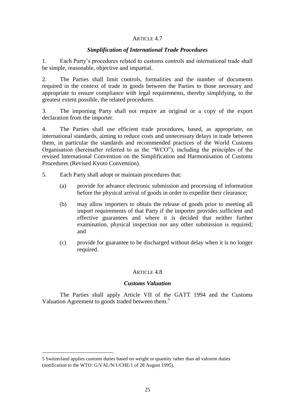# *Simplification of International Trade Procedures*

1. Each Party's procedures related to customs controls and international trade shall be simple, reasonable, objective and impartial.

2. The Parties shall limit controls, formalities and the number of documents required in the context of trade in goods between the Parties to those necessary and appropriate to ensure compliance with legal requirements, thereby simplifying, to the greatest extent possible, the related procedures.

3. The importing Party shall not require an original or a copy of the export declaration from the importer.

4. The Parties shall use efficient trade procedures, based, as appropriate, on international standards, aiming to reduce costs and unnecessary delays in trade between them, in particular the standards and recommended practices of the World Customs Organisation (hereinafter referred to as the "WCO"), including the principles of the revised International Convention on the Simplification and Harmonisation of Customs Procedures (Revised Kyoto Convention).

- 5. Each Party shall adopt or maintain procedures that:
	- (a) provide for advance electronic submission and processing of information before the physical arrival of goods in order to expedite their clearance;
	- (b) may allow importers to obtain the release of goods prior to meeting all import requirements of that Party if the importer provides sufficient and effective guarantees and where it is decided that neither further examination, physical inspection nor any other submission is required; and
	- (c) provide for guarantee to be discharged without delay when it is no longer required.

## ARTICLE 4.8

## *Customs Valuation*

The Parties shall apply Article VII of the GATT 1994 and the Customs Valuation Agreement to goods traded between them.<sup>5</sup>

1

<sup>5</sup> Switzerland applies customs duties based on weight or quantity rather than ad valorem duties (notification to the WTO: G/VAL/N/1/CHE/1 of 28 August 1995).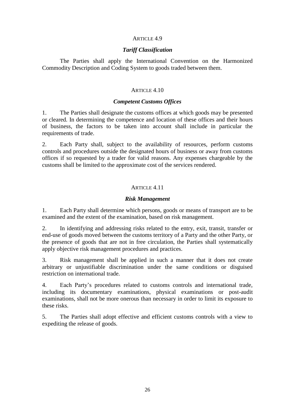## *Tariff Classification*

The Parties shall apply the International Convention on the Harmonized Commodity Description and Coding System to goods traded between them.

## ARTICLE 4.10

## *Competent Customs Offices*

1. The Parties shall designate the customs offices at which goods may be presented or cleared. In determining the competence and location of these offices and their hours of business, the factors to be taken into account shall include in particular the requirements of trade.

2. Each Party shall, subject to the availability of resources, perform customs controls and procedures outside the designated hours of business or away from customs offices if so requested by a trader for valid reasons. Any expenses chargeable by the customs shall be limited to the approximate cost of the services rendered.

# ARTICLE 4.11

## *Risk Management*

1. Each Party shall determine which persons, goods or means of transport are to be examined and the extent of the examination, based on risk management.

2. In identifying and addressing risks related to the entry, exit, transit, transfer or end-use of goods moved between the customs territory of a Party and the other Party, or the presence of goods that are not in free circulation, the Parties shall systematically apply objective risk management procedures and practices.

3. Risk management shall be applied in such a manner that it does not create arbitrary or unjustifiable discrimination under the same conditions or disguised restriction on international trade.

4. Each Party's procedures related to customs controls and international trade, including its documentary examinations, physical examinations or post-audit examinations, shall not be more onerous than necessary in order to limit its exposure to these risks.

5. The Parties shall adopt effective and efficient customs controls with a view to expediting the release of goods.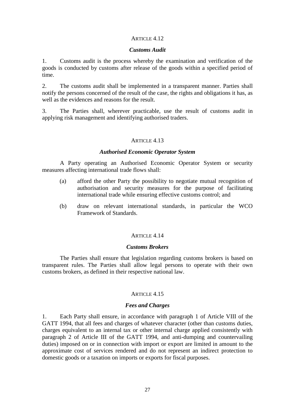### *Customs Audit*

1. Customs audit is the process whereby the examination and verification of the goods is conducted by customs after release of the goods within a specified period of time.

2. The customs audit shall be implemented in a transparent manner. Parties shall notify the persons concerned of the result of the case, the rights and obligations it has, as well as the evidences and reasons for the result.

3. The Parties shall, wherever practicable, use the result of customs audit in applying risk management and identifying authorised traders.

# ARTICLE 4.13

## *Authorised Economic Operator System*

A Party operating an Authorised Economic Operator System or security measures affecting international trade flows shall:

- (a) afford the other Party the possibility to negotiate mutual recognition of authorisation and security measures for the purpose of facilitating international trade while ensuring effective customs control; and
- (b) draw on relevant international standards, in particular the WCO Framework of Standards.

## ARTICLE 4.14

## *Customs Brokers*

The Parties shall ensure that legislation regarding customs brokers is based on transparent rules. The Parties shall allow legal persons to operate with their own customs brokers, as defined in their respective national law.

## ARTICLE 4.15

## *Fees and Charges*

1. Each Party shall ensure, in accordance with paragraph 1 of Article VIII of the GATT 1994, that all fees and charges of whatever character (other than customs duties, charges equivalent to an internal tax or other internal charge applied consistently with paragraph 2 of Article III of the GATT 1994, and anti-dumping and countervailing duties) imposed on or in connection with import or export are limited in amount to the approximate cost of services rendered and do not represent an indirect protection to domestic goods or a taxation on imports or exports for fiscal purposes.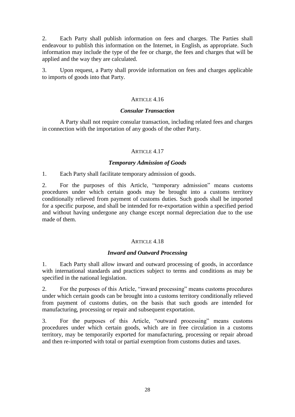2. Each Party shall publish information on fees and charges. The Parties shall endeavour to publish this information on the Internet, in English, as appropriate. Such information may include the type of the fee or charge, the fees and charges that will be applied and the way they are calculated.

3. Upon request, a Party shall provide information on fees and charges applicable to imports of goods into that Party.

# ARTICLE 4.16

## *Consular Transaction*

A Party shall not require consular transaction, including related fees and charges in connection with the importation of any goods of the other Party.

# ARTICLE 4.17

# *Temporary Admission of Goods*

1. Each Party shall facilitate temporary admission of goods.

2. For the purposes of this Article, "temporary admission" means customs procedures under which certain goods may be brought into a customs territory conditionally relieved from payment of customs duties. Such goods shall be imported for a specific purpose, and shall be intended for re-exportation within a specified period and without having undergone any change except normal depreciation due to the use made of them.

# ARTICLE 4.18

## *Inward and Outward Processing*

1. Each Party shall allow inward and outward processing of goods, in accordance with international standards and practices subject to terms and conditions as may be specified in the national legislation.

2. For the purposes of this Article, "inward processing" means customs procedures under which certain goods can be brought into a customs territory conditionally relieved from payment of customs duties, on the basis that such goods are intended for manufacturing, processing or repair and subsequent exportation.

3. For the purposes of this Article, "outward processing" means customs procedures under which certain goods, which are in free circulation in a customs territory, may be temporarily exported for manufacturing, processing or repair abroad and then re-imported with total or partial exemption from customs duties and taxes.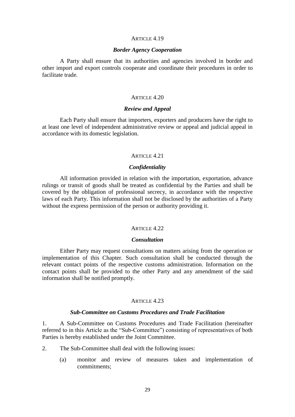## *Border Agency Cooperation*

A Party shall ensure that its authorities and agencies involved in border and other import and export controls cooperate and coordinate their procedures in order to facilitate trade.

## ARTICLE 4.20

#### *Review and Appeal*

Each Party shall ensure that importers, exporters and producers have the right to at least one level of independent administrative review or appeal and judicial appeal in accordance with its domestic legislation.

#### ARTICLE 4.21

## *Confidentiality*

All information provided in relation with the importation, exportation, advance rulings or transit of goods shall be treated as confidential by the Parties and shall be covered by the obligation of professional secrecy, in accordance with the respective laws of each Party. This information shall not be disclosed by the authorities of a Party without the express permission of the person or authority providing it.

#### ARTICLE 4.22

#### *Consultation*

Either Party may request consultations on matters arising from the operation or implementation of this Chapter. Such consultation shall be conducted through the relevant contact points of the respective customs administration. Information on the contact points shall be provided to the other Party and any amendment of the said information shall be notified promptly.

#### ARTICLE 4.23

## *Sub-Committee on Customs Procedures and Trade Facilitation*

1. A Sub-Committee on Customs Procedures and Trade Facilitation (hereinafter referred to in this Article as the "Sub-Committee") consisting of representatives of both Parties is hereby established under the Joint Committee.

- 2. The Sub-Committee shall deal with the following issues:
	- (a) monitor and review of measures taken and implementation of commitments;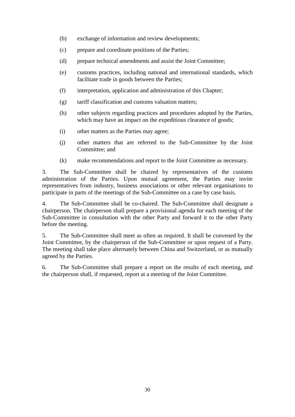- (b) exchange of information and review developments;
- (c) prepare and coordinate positions of the Parties;
- (d) prepare technical amendments and assist the Joint Committee;
- (e) customs practices, including national and international standards, which facilitate trade in goods between the Parties;
- (f) interpretation, application and administration of this Chapter;
- (g) tariff classification and customs valuation matters;
- (h) other subjects regarding practices and procedures adopted by the Parties, which may have an impact on the expeditious clearance of goods;
- (i) other matters as the Parties may agree;
- (j) other matters that are referred to the Sub-Committee by the Joint Committee; and
- (k) make recommendations and report to the Joint Committee as necessary.

3. The Sub-Committee shall be chaired by representatives of the customs administration of the Parties. Upon mutual agreement, the Parties may invite representatives from industry, business associations or other relevant organisations to participate in parts of the meetings of the Sub-Committee on a case by case basis.

4. The Sub-Committee shall be co-chaired. The Sub-Committee shall designate a chairperson. The chairperson shall prepare a provisional agenda for each meeting of the Sub-Committee in consultation with the other Party and forward it to the other Party before the meeting.

5. The Sub-Committee shall meet as often as required. It shall be convened by the Joint Committee, by the chairperson of the Sub-Committee or upon request of a Party. The meeting shall take place alternately between China and Switzerland, or as mutually agreed by the Parties.

6. The Sub-Committee shall prepare a report on the results of each meeting, and the chairperson shall, if requested, report at a meeting of the Joint Committee.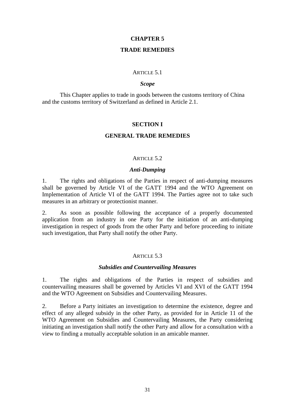## **CHAPTER 5**

# **TRADE REMEDIES**

#### ARTICLE 5.1

## *Scope*

This Chapter applies to trade in goods between the customs territory of China and the customs territory of Switzerland as defined in Article 2.1.

## **SECTION I**

# **GENERAL TRADE REMEDIES**

#### ARTICLE 5.2

#### *Anti-Dumping*

1. The rights and obligations of the Parties in respect of anti-dumping measures shall be governed by Article VI of the GATT 1994 and the WTO Agreement on Implementation of Article VI of the GATT 1994. The Parties agree not to take such measures in an arbitrary or protectionist manner.

2. As soon as possible following the acceptance of a properly documented application from an industry in one Party for the initiation of an anti-dumping investigation in respect of goods from the other Party and before proceeding to initiate such investigation, that Party shall notify the other Party.

#### ARTICLE 5.3

#### *Subsidies and Countervailing Measures*

1. The rights and obligations of the Parties in respect of subsidies and countervailing measures shall be governed by Articles VI and XVI of the GATT 1994 and the WTO Agreement on Subsidies and Countervailing Measures.

2. Before a Party initiates an investigation to determine the existence, degree and effect of any alleged subsidy in the other Party, as provided for in Article 11 of the WTO Agreement on Subsidies and Countervailing Measures, the Party considering initiating an investigation shall notify the other Party and allow for a consultation with a view to finding a mutually acceptable solution in an amicable manner.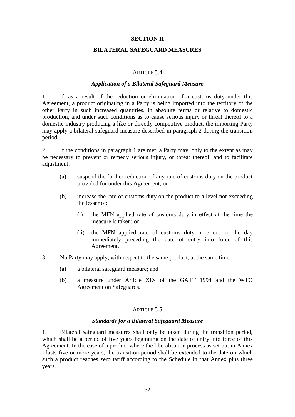## **SECTION II**

## **BILATERAL SAFEGUARD MEASURES**

## ARTICLE 5.4

## *Application of a Bilateral Safeguard Measure*

1. If, as a result of the reduction or elimination of a customs duty under this Agreement, a product originating in a Party is being imported into the territory of the other Party in such increased quantities, in absolute terms or relative to domestic production, and under such conditions as to cause serious injury or threat thereof to a domestic industry producing a like or directly competitive product, the importing Party may apply a bilateral safeguard measure described in paragraph 2 during the transition period.

2. If the conditions in paragraph 1 are met, a Party may, only to the extent as may be necessary to prevent or remedy serious injury, or threat thereof, and to facilitate adjustment:

- (a) suspend the further reduction of any rate of customs duty on the product provided for under this Agreement; or
- (b) increase the rate of customs duty on the product to a level not exceeding the lesser of:
	- (i) the MFN applied rate of customs duty in effect at the time the measure is taken; or
	- (ii) the MFN applied rate of customs duty in effect on the day immediately preceding the date of entry into force of this Agreement.
- 3. No Party may apply, with respect to the same product, at the same time:
	- (a) a bilateral safeguard measure; and
	- (b) a measure under Article XIX of the GATT 1994 and the WTO Agreement on Safeguards.

## ARTICLE 5.5

#### *Standards for a Bilateral Safeguard Measure*

1. Bilateral safeguard measures shall only be taken during the transition period, which shall be a period of five years beginning on the date of entry into force of this Agreement. In the case of a product where the liberalisation process as set out in Annex I lasts five or more years, the transition period shall be extended to the date on which such a product reaches zero tariff according to the Schedule in that Annex plus three years.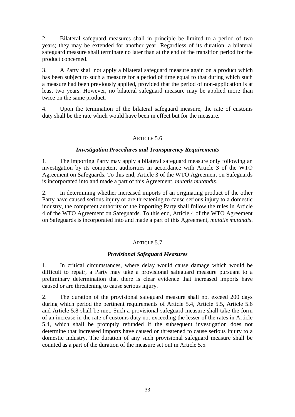2. Bilateral safeguard measures shall in principle be limited to a period of two years; they may be extended for another year. Regardless of its duration, a bilateral safeguard measure shall terminate no later than at the end of the transition period for the product concerned.

3. A Party shall not apply a bilateral safeguard measure again on a product which has been subject to such a measure for a period of time equal to that during which such a measure had been previously applied, provided that the period of non-application is at least two years. However, no bilateral safeguard measure may be applied more than twice on the same product.

4. Upon the termination of the bilateral safeguard measure, the rate of customs duty shall be the rate which would have been in effect but for the measure.

# ARTICLE 5.6

# *Investigation Procedures and Transparency Requirements*

1. The importing Party may apply a bilateral safeguard measure only following an investigation by its competent authorities in accordance with Article 3 of the WTO Agreement on Safeguards. To this end, Article 3 of the WTO Agreement on Safeguards is incorporated into and made a part of this Agreement, *mutatis mutandis*.

2. In determining whether increased imports of an originating product of the other Party have caused serious injury or are threatening to cause serious injury to a domestic industry, the competent authority of the importing Party shall follow the rules in Article 4 of the WTO Agreement on Safeguards. To this end, Article 4 of the WTO Agreement on Safeguards is incorporated into and made a part of this Agreement, *mutatis mutandis*.

# ARTICLE 5.7

## *Provisional Safeguard Measures*

1. In critical circumstances, where delay would cause damage which would be difficult to repair, a Party may take a provisional safeguard measure pursuant to a preliminary determination that there is clear evidence that increased imports have caused or are threatening to cause serious injury.

2. The duration of the provisional safeguard measure shall not exceed 200 days during which period the pertinent requirements of Article 5.4, Article 5.5, Article 5.6 and Article 5.8 shall be met. Such a provisional safeguard measure shall take the form of an increase in the rate of customs duty not exceeding the lesser of the rates in Article 5.4, which shall be promptly refunded if the subsequent investigation does not determine that increased imports have caused or threatened to cause serious injury to a domestic industry. The duration of any such provisional safeguard measure shall be counted as a part of the duration of the measure set out in Article 5.5.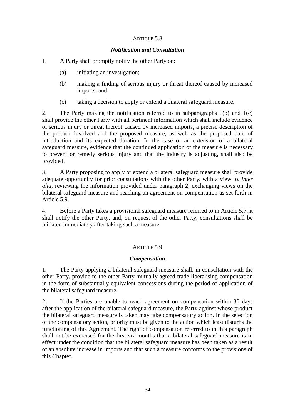## ARTICLE 5.8

## *Notification and Consultation*

## 1. A Party shall promptly notify the other Party on:

- (a) initiating an investigation;
- (b) making a finding of serious injury or threat thereof caused by increased imports; and
- (c) taking a decision to apply or extend a bilateral safeguard measure.

2. The Party making the notification referred to in subparagraphs 1(b) and 1(c) shall provide the other Party with all pertinent information which shall include evidence of serious injury or threat thereof caused by increased imports, a precise description of the product involved and the proposed measure, as well as the proposed date of introduction and its expected duration. In the case of an extension of a bilateral safeguard measure, evidence that the continued application of the measure is necessary to prevent or remedy serious injury and that the industry is adjusting, shall also be provided.

3. A Party proposing to apply or extend a bilateral safeguard measure shall provide adequate opportunity for prior consultations with the other Party, with a view to, *inter alia,* reviewing the information provided under paragraph 2, exchanging views on the bilateral safeguard measure and reaching an agreement on compensation as set forth in Article 5.9.

4. Before a Party takes a provisional safeguard measure referred to in Article 5.7, it shall notify the other Party, and, on request of the other Party, consultations shall be initiated immediately after taking such a measure.

## ARTICLE 5.9

## *Compensation*

1. The Party applying a bilateral safeguard measure shall, in consultation with the other Party, provide to the other Party mutually agreed trade liberalising compensation in the form of substantially equivalent concessions during the period of application of the bilateral safeguard measure.

2. If the Parties are unable to reach agreement on compensation within 30 days after the application of the bilateral safeguard measure, the Party against whose product the bilateral safeguard measure is taken may take compensatory action. In the selection of the compensatory action, priority must be given to the action which least disturbs the functioning of this Agreement. The right of compensation referred to in this paragraph shall not be exercised for the first six months that a bilateral safeguard measure is in effect under the condition that the bilateral safeguard measure has been taken as a result of an absolute increase in imports and that such a measure conforms to the provisions of this Chapter.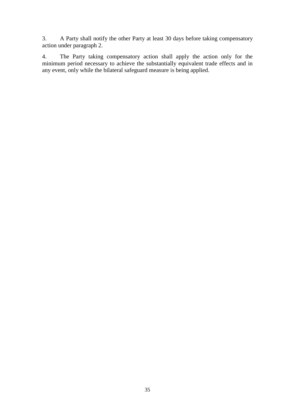3. A Party shall notify the other Party at least 30 days before taking compensatory action under paragraph 2.

4. The Party taking compensatory action shall apply the action only for the minimum period necessary to achieve the substantially equivalent trade effects and in any event, only while the bilateral safeguard measure is being applied.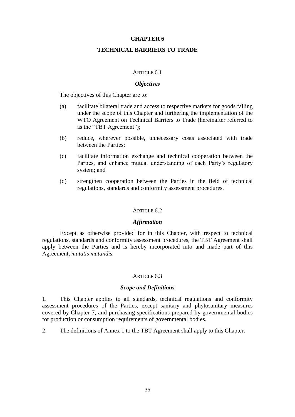### **TECHNICAL BARRIERS TO TRADE**

#### ARTICLE 6.1

### *Objectives*

The objectives of this Chapter are to:

- (a) facilitate bilateral trade and access to respective markets for goods falling under the scope of this Chapter and furthering the implementation of the WTO Agreement on Technical Barriers to Trade (hereinafter referred to as the "TBT Agreement");
- (b) reduce, wherever possible, unnecessary costs associated with trade between the Parties;
- (c) facilitate information exchange and technical cooperation between the Parties, and enhance mutual understanding of each Party's regulatory system; and
- (d) strengthen cooperation between the Parties in the field of technical regulations, standards and conformity assessment procedures.

### ARTICLE 6.2

### *Affirmation*

Except as otherwise provided for in this Chapter, with respect to technical regulations, standards and conformity assessment procedures, the TBT Agreement shall apply between the Parties and is hereby incorporated into and made part of this Agreement*, mutatis mutandis.*

#### ARTICLE 6.3

#### *Scope and Definitions*

1. This Chapter applies to all standards, technical regulations and conformity assessment procedures of the Parties, except sanitary and phytosanitary measures covered by Chapter 7, and purchasing specifications prepared by governmental bodies for production or consumption requirements of governmental bodies.

2. The definitions of Annex 1 to the TBT Agreement shall apply to this Chapter.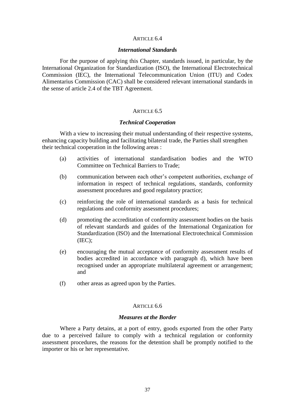### ARTICLE 6.4

### *International Standards*

For the purpose of applying this Chapter, standards issued, in particular, by the International Organization for Standardization (ISO), the International Electrotechnical Commission (IEC), the International Telecommunication Union (ITU) and Codex Alimentarius Commission (CAC) shall be considered relevant international standards in the sense of article 2.4 of the TBT Agreement.

### ARTICLE 6.5

#### *Technical Cooperation*

With a view to increasing their mutual understanding of their respective systems, enhancing capacity building and facilitating bilateral trade, the Parties shall strengthen their technical cooperation in the following areas :

- (a) activities of international standardisation bodies and the WTO Committee on Technical Barriers to Trade;
- (b) communication between each other's competent authorities, exchange of information in respect of technical regulations, standards, conformity assessment procedures and good regulatory practice;
- (c) reinforcing the role of international standards as a basis for technical regulations and conformity assessment procedures;
- (d) promoting the accreditation of conformity assessment bodies on the basis of relevant standards and guides of the International Organization for Standardization (ISO) and the International Electrotechnical Commission (IEC);
- (e) encouraging the mutual acceptance of conformity assessment results of bodies accredited in accordance with paragraph d), which have been recognised under an appropriate multilateral agreement or arrangement; and
- (f) other areas as agreed upon by the Parties.

### ARTICLE 6.6

#### *Measures at the Border*

Where a Party detains, at a port of entry, goods exported from the other Party due to a perceived failure to comply with a technical regulation or conformity assessment procedures, the reasons for the detention shall be promptly notified to the importer or his or her representative.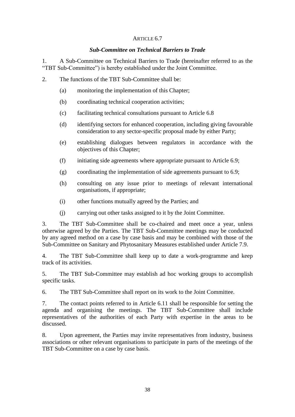# ARTICLE 6.7

# *Sub-Committee on Technical Barriers to Trade*

1. A Sub-Committee on Technical Barriers to Trade (hereinafter referred to as the "TBT Sub-Committee") is hereby established under the Joint Committee.

- 2. The functions of the TBT Sub-Committee shall be:
	- (a) monitoring the implementation of this Chapter;
	- (b) coordinating technical cooperation activities;
	- (c) facilitating technical consultations pursuant to Article 6.8
	- (d) identifying sectors for enhanced cooperation, including giving favourable consideration to any sector-specific proposal made by either Party;
	- (e) establishing dialogues between regulators in accordance with the objectives of this Chapter;
	- (f) initiating side agreements where appropriate pursuant to Article 6.9;
	- (g) coordinating the implementation of side agreements pursuant to 6.9;
	- (h) consulting on any issue prior to meetings of relevant international organisations, if appropriate;
	- (i) other functions mutually agreed by the Parties; and
	- (j) carrying out other tasks assigned to it by the Joint Committee.

3. The TBT Sub-Committee shall be co-chaired and meet once a year, unless otherwise agreed by the Parties. The TBT Sub-Committee meetings may be conducted by any agreed method on a case by case basis and may be combined with those of the Sub-Committee on Sanitary and Phytosanitary Measures established under Article 7.9.

4. The TBT Sub-Committee shall keep up to date a work-programme and keep track of its activities.

5. The TBT Sub-Committee may establish ad hoc working groups to accomplish specific tasks.

6. The TBT Sub-Committee shall report on its work to the Joint Committee.

7. The contact points referred to in Article 6.11 shall be responsible for setting the agenda and organising the meetings. The TBT Sub-Committee shall include representatives of the authorities of each Party with expertise in the areas to be discussed.

8. Upon agreement, the Parties may invite representatives from industry, business associations or other relevant organisations to participate in parts of the meetings of the TBT Sub-Committee on a case by case basis.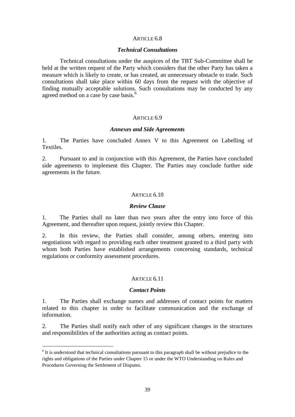### ARTICLE 6.8

### *Technical Consultations*

Technical consultations under the auspices of the TBT Sub-Committee shall be held at the written request of the Party which considers that the other Party has taken a measure which is likely to create, or has created, an unnecessary obstacle to trade. Such consultations shall take place within 60 days from the request with the objective of finding mutually acceptable solutions. Such consultations may be conducted by any agreed method on a case by case basis.<sup>6</sup>

### ARTICLE 6.9

### *Annexes and Side Agreements*

1. The Parties have concluded Annex V to this Agreement on Labelling of Textiles.

2. Pursuant to and in conjunction with this Agreement, the Parties have concluded side agreements to implement this Chapter. The Parties may conclude further side agreements in the future.

### ARTICLE 6.10

### *Review Clause*

1. The Parties shall no later than two years after the entry into force of this Agreement, and thereafter upon request, jointly review this Chapter.

2. In this review, the Parties shall consider, among others, entering into negotiations with regard to providing each other treatment granted to a third party with whom both Parties have established arrangements concerning standards, technical regulations or conformity assessment procedures.

### ARTICLE 6.11

### *Contact Points*

1. The Parties shall exchange names and addresses of contact points for matters related to this chapter in order to facilitate communication and the exchange of information.

2. The Parties shall notify each other of any significant changes in the structures and responsibilities of the authorities acting as contact points.

-

<sup>&</sup>lt;sup>6</sup> It is understood that technical consultations pursuant to this paragraph shall be without prejudice to the rights and obligations of the Parties under Chapter 15 or under the WTO Understanding on Rules and Procedures Governing the Settlement of Disputes.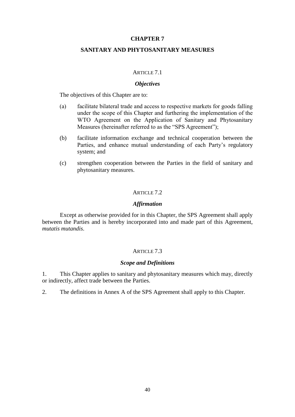## **SANITARY AND PHYTOSANITARY MEASURES**

### ARTICLE 7.1

### *Objectives*

The objectives of this Chapter are to:

- (a) facilitate bilateral trade and access to respective markets for goods falling under the scope of this Chapter and furthering the implementation of the WTO Agreement on the Application of Sanitary and Phytosanitary Measures (hereinafter referred to as the "SPS Agreement");
- (b) facilitate information exchange and technical cooperation between the Parties, and enhance mutual understanding of each Party's regulatory system; and
- (c) strengthen cooperation between the Parties in the field of sanitary and phytosanitary measures.

## ARTICLE 7.2

## *Affirmation*

Except as otherwise provided for in this Chapter, the SPS Agreement shall apply between the Parties and is hereby incorporated into and made part of this Agreement, *mutatis mutandis*.

#### ARTICLE 7.3

### *Scope and Definitions*

1. This Chapter applies to sanitary and phytosanitary measures which may, directly or indirectly, affect trade between the Parties.

2. The definitions in Annex A of the SPS Agreement shall apply to this Chapter.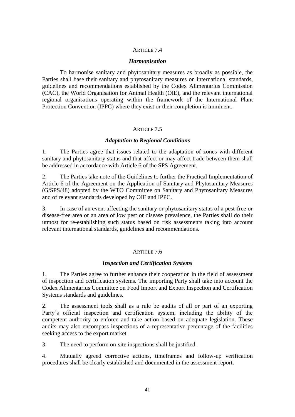# ARTICLE 7.4

### *Harmonisation*

To harmonise sanitary and phytosanitary measures as broadly as possible, the Parties shall base their sanitary and phytosanitary measures on international standards, guidelines and recommendations established by the Codex Alimentarius Commission (CAC), the World Organisation for Animal Health (OIE), and the relevant international regional organisations operating within the framework of the International Plant Protection Convention (IPPC) where they exist or their completion is imminent.

## ARTICLE 7.5

### *Adaptation to Regional Conditions*

1. The Parties agree that issues related to the adaptation of zones with different sanitary and phytosanitary status and that affect or may affect trade between them shall be addressed in accordance with Article 6 of the SPS Agreement.

2. The Parties take note of the Guidelines to further the Practical Implementation of Article 6 of the Agreement on the Application of Sanitary and Phytosanitary Measures (G/SPS/48) adopted by the WTO Committee on Sanitary and Phytosanitary Measures and of relevant standards developed by OIE and IPPC.

3. In case of an event affecting the sanitary or phytosanitary status of a pest-free or disease-free area or an area of low pest or disease prevalence, the Parties shall do their utmost for re-establishing such status based on risk assessments taking into account relevant international standards, guidelines and recommendations.

## ARTICLE 7.6

## *Inspection and Certification Systems*

1. The Parties agree to further enhance their cooperation in the field of assessment of inspection and certification systems. The importing Party shall take into account the Codex Alimentarius Committee on Food Import and Export Inspection and Certification Systems standards and guidelines.

2. The assessment tools shall as a rule be audits of all or part of an exporting Party's official inspection and certification system, including the ability of the competent authority to enforce and take action based on adequate legislation. These audits may also encompass inspections of a representative percentage of the facilities seeking access to the export market.

3. The need to perform on-site inspections shall be justified.

4. Mutually agreed corrective actions, timeframes and follow-up verification procedures shall be clearly established and documented in the assessment report.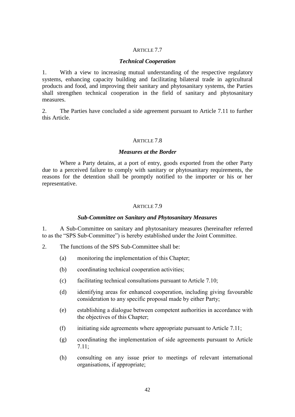# ARTICLE 7.7

## *Technical Cooperation*

1. With a view to increasing mutual understanding of the respective regulatory systems, enhancing capacity building and facilitating bilateral trade in agricultural products and food, and improving their sanitary and phytosanitary systems, the Parties shall strengthen technical cooperation in the field of sanitary and phytosanitary measures.

2. The Parties have concluded a side agreement pursuant to Article 7.11 to further this Article.

# ARTICLE 7.8

## *Measures at the Border*

Where a Party detains, at a port of entry, goods exported from the other Party due to a perceived failure to comply with sanitary or phytosanitary requirements, the reasons for the detention shall be promptly notified to the importer or his or her representative.

# ARTICLE 7.9

# *Sub-Committee on Sanitary and Phytosanitary Measures*

1. A Sub-Committee on sanitary and phytosanitary measures (hereinafter referred to as the "SPS Sub-Committee") is hereby established under the Joint Committee.

- 2. The functions of the SPS Sub-Committee shall be:
	- (a) monitoring the implementation of this Chapter;
	- (b) coordinating technical cooperation activities;
	- (c) facilitating technical consultations pursuant to Article 7.10;
	- (d) identifying areas for enhanced cooperation, including giving favourable consideration to any specific proposal made by either Party;
	- (e) establishing a dialogue between competent authorities in accordance with the objectives of this Chapter;
	- (f) initiating side agreements where appropriate pursuant to Article  $7.11$ ;
	- (g) coordinating the implementation of side agreements pursuant to Article 7.11;
	- (h) consulting on any issue prior to meetings of relevant international organisations, if appropriate;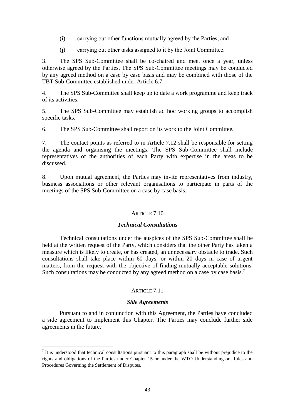- (i) carrying out other functions mutually agreed by the Parties; and
- (j) carrying out other tasks assigned to it by the Joint Committee.

3. The SPS Sub-Committee shall be co-chaired and meet once a year, unless otherwise agreed by the Parties. The SPS Sub-Committee meetings may be conducted by any agreed method on a case by case basis and may be combined with those of the TBT Sub-Committee established under Article 6.7.

4. The SPS Sub-Committee shall keep up to date a work programme and keep track of its activities.

5. The SPS Sub-Committee may establish ad hoc working groups to accomplish specific tasks.

6. The SPS Sub-Committee shall report on its work to the Joint Committee.

7. The contact points as referred to in Article 7.12 shall be responsible for setting the agenda and organising the meetings. The SPS Sub-Committee shall include representatives of the authorities of each Party with expertise in the areas to be discussed.

8. Upon mutual agreement, the Parties may invite representatives from industry, business associations or other relevant organisations to participate in parts of the meetings of the SPS Sub-Committee on a case by case basis.

# ARTICLE 7.10

## *Technical Consultations*

Technical consultations under the auspices of the SPS Sub-Committee shall be held at the written request of the Party, which considers that the other Party has taken a measure which is likely to create, or has created, an unnecessary obstacle to trade. Such consultations shall take place within 60 days, or within 20 days in case of urgent matters, from the request with the objective of finding mutually acceptable solutions. Such consultations may be conducted by any agreed method on a case by case basis.<sup>7</sup>

# ARTICLE 7.11

## *Side Agreements*

Pursuant to and in conjunction with this Agreement, the Parties have concluded a side agreement to implement this Chapter. The Parties may conclude further side agreements in the future.

-

It is understood that technical consultations pursuant to this paragraph shall be without prejudice to the rights and obligations of the Parties under Chapter 15 or under the WTO Understanding on Rules and Procedures Governing the Settlement of Disputes.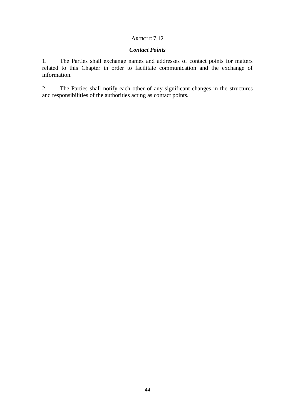# ARTICLE 7.12

# *Contact Points*

1. The Parties shall exchange names and addresses of contact points for matters related to this Chapter in order to facilitate communication and the exchange of information.

2. The Parties shall notify each other of any significant changes in the structures and responsibilities of the authorities acting as contact points.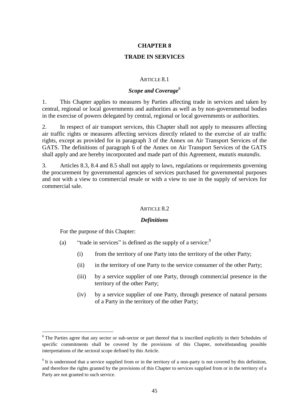# **TRADE IN SERVICES**

### ARTICLE 8.1

# **Scope and Coverage<sup>8</sup>**

1. This Chapter applies to measures by Parties affecting trade in services and taken by central, regional or local governments and authorities as well as by non-governmental bodies in the exercise of powers delegated by central, regional or local governments or authorities.

2. In respect of air transport services, this Chapter shall not apply to measures affecting air traffic rights or measures affecting services directly related to the exercise of air traffic rights, except as provided for in paragraph 3 of the Annex on Air Transport Services of the GATS. The definitions of paragraph 6 of the Annex on Air Transport Services of the GATS shall apply and are hereby incorporated and made part of this Agreement, *mutatis mutandis*.

3. Articles 8.3, 8.4 and 8.5 shall not apply to laws, regulations or requirements governing the procurement by governmental agencies of services purchased for governmental purposes and not with a view to commercial resale or with a view to use in the supply of services for commercial sale.

### ARTICLE 8.2

### *Definitions*

For the purpose of this Chapter:

-

- (a) "trade in services" is defined as the supply of a service: $9$ 
	- (i) from the territory of one Party into the territory of the other Party;
	- (ii) in the territory of one Party to the service consumer of the other Party;
	- (iii) by a service supplier of one Party, through commercial presence in the territory of the other Party;
	- (iv) by a service supplier of one Party, through presence of natural persons of a Party in the territory of the other Party;

<sup>&</sup>lt;sup>8</sup> The Parties agree that any sector or sub-sector or part thereof that is inscribed explicitly in their Schedules of specific commitments shall be covered by the provisions of this Chapter, notwithstanding possible interpretations of the sectoral scope defined by this Article.

 $9$  It is understood that a service supplied from or in the territory of a non-party is not covered by this definition, and therefore the rights granted by the provisions of this Chapter to services supplied from or in the territory of a Party are not granted to such service.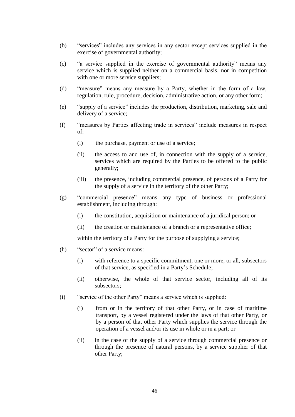- (b) "services" includes any services in any sector except services supplied in the exercise of governmental authority;
- (c) "a service supplied in the exercise of governmental authority" means any service which is supplied neither on a commercial basis, nor in competition with one or more service suppliers;
- (d) "measure" means any measure by a Party, whether in the form of a law, regulation, rule, procedure, decision, administrative action, or any other form;
- (e) "supply of a service" includes the production, distribution, marketing, sale and delivery of a service;
- (f) "measures by Parties affecting trade in services" include measures in respect of:
	- (i) the purchase, payment or use of a service;
	- (ii) the access to and use of, in connection with the supply of a service, services which are required by the Parties to be offered to the public generally;
	- (iii) the presence, including commercial presence, of persons of a Party for the supply of a service in the territory of the other Party;
- (g) "commercial presence" means any type of business or professional establishment, including through:
	- (i) the constitution, acquisition or maintenance of a juridical person; or
	- (ii) the creation or maintenance of a branch or a representative office;

within the territory of a Party for the purpose of supplying a service;

- (h) "sector" of a service means:
	- (i) with reference to a specific commitment, one or more, or all, subsectors of that service, as specified in a Party's Schedule;
	- (ii) otherwise, the whole of that service sector, including all of its subsectors;
- (i) "service of the other Party" means a service which is supplied:
	- (i) from or in the territory of that other Party, or in case of maritime transport, by a vessel registered under the laws of that other Party, or by a person of that other Party which supplies the service through the operation of a vessel and/or its use in whole or in a part; or
	- (ii) in the case of the supply of a service through commercial presence or through the presence of natural persons, by a service supplier of that other Party;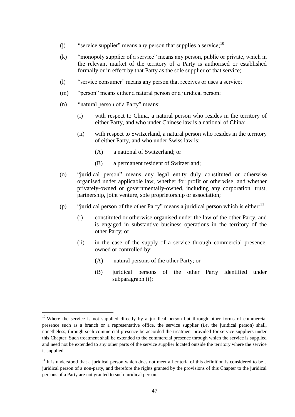- (j) "service supplier" means any person that supplies a service;  $10$
- (k) "monopoly supplier of a service" means any person, public or private, which in the relevant market of the territory of a Party is authorised or established formally or in effect by that Party as the sole supplier of that service;
- (l) "service consumer" means any person that receives or uses a service;
- (m) "person" means either a natural person or a juridical person;
- (n) "natural person of a Party" means:

-

- (i) with respect to China, a natural person who resides in the territory of either Party, and who under Chinese law is a national of China;
- (ii) with respect to Switzerland, a natural person who resides in the territory of either Party, and who under Swiss law is:
	- (A) a national of Switzerland; or
	- (B) a permanent resident of Switzerland;
- (o) "juridical person" means any legal entity duly constituted or otherwise organised under applicable law, whether for profit or otherwise, and whether privately-owned or governmentally-owned, including any corporation, trust, partnership, joint venture, sole proprietorship or association;
- (p) "juridical person of the other Party" means a juridical person which is either.<sup>11</sup>
	- (i) constituted or otherwise organised under the law of the other Party, and is engaged in substantive business operations in the territory of the other Party; or
	- (ii) in the case of the supply of a service through commercial presence, owned or controlled by:
		- (A) natural persons of the other Party; or
		- (B) juridical persons of the other Party identified under subparagraph (i);

<sup>&</sup>lt;sup>10</sup> Where the service is not supplied directly by a juridical person but through other forms of commercial presence such as a branch or a representative office, the service supplier (*i.e*. the juridical person) shall, nonetheless, through such commercial presence be accorded the treatment provided for service suppliers under this Chapter. Such treatment shall be extended to the commercial presence through which the service is supplied and need not be extended to any other parts of the service supplier located outside the territory where the service is supplied.

 $11$  It is understood that a juridical person which does not meet all criteria of this definition is considered to be a juridical person of a non-party, and therefore the rights granted by the provisions of this Chapter to the juridical persons of a Party are not granted to such juridical person.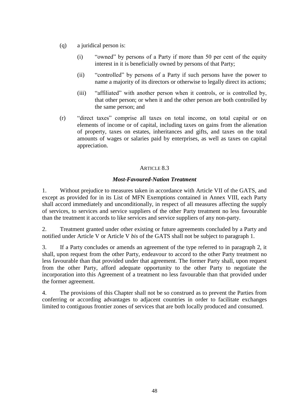- (q) a juridical person is:
	- (i) "owned" by persons of a Party if more than 50 per cent of the equity interest in it is beneficially owned by persons of that Party;
	- (ii) "controlled" by persons of a Party if such persons have the power to name a majority of its directors or otherwise to legally direct its actions;
	- (iii) "affiliated" with another person when it controls, or is controlled by, that other person; or when it and the other person are both controlled by the same person; and
- (r) "direct taxes" comprise all taxes on total income, on total capital or on elements of income or of capital, including taxes on gains from the alienation of property, taxes on estates, inheritances and gifts, and taxes on the total amounts of wages or salaries paid by enterprises, as well as taxes on capital appreciation.

# *Most-Favoured-Nation Treatment*

1. Without prejudice to measures taken in accordance with Article VII of the GATS, and except as provided for in its List of MFN Exemptions contained in Annex VIII, each Party shall accord immediately and unconditionally, in respect of all measures affecting the supply of services, to services and service suppliers of the other Party treatment no less favourable than the treatment it accords to like services and service suppliers of any non-party.

2. Treatment granted under other existing or future agreements concluded by a Party and notified under Article V or Article V *bis* of the GATS shall not be subject to paragraph 1.

3. If a Party concludes or amends an agreement of the type referred to in paragraph 2, it shall, upon request from the other Party, endeavour to accord to the other Party treatment no less favourable than that provided under that agreement. The former Party shall, upon request from the other Party, afford adequate opportunity to the other Party to negotiate the incorporation into this Agreement of a treatment no less favourable than that provided under the former agreement.

4. The provisions of this Chapter shall not be so construed as to prevent the Parties from conferring or according advantages to adjacent countries in order to facilitate exchanges limited to contiguous frontier zones of services that are both locally produced and consumed.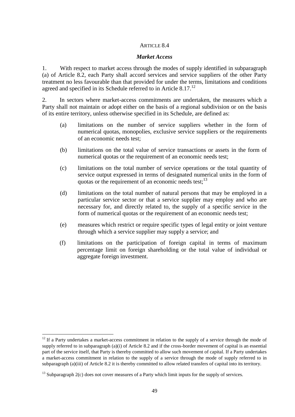### *Market Access*

1. With respect to market access through the modes of supply identified in subparagraph (a) of Article 8.2, each Party shall accord services and service suppliers of the other Party treatment no less favourable than that provided for under the terms, limitations and conditions agreed and specified in its Schedule referred to in Article 8.17. $^{12}$ 

2. In sectors where market-access commitments are undertaken, the measures which a Party shall not maintain or adopt either on the basis of a regional subdivision or on the basis of its entire territory, unless otherwise specified in its Schedule, are defined as:

- (a) limitations on the number of service suppliers whether in the form of numerical quotas, monopolies, exclusive service suppliers or the requirements of an economic needs test;
- (b) limitations on the total value of service transactions or assets in the form of numerical quotas or the requirement of an economic needs test;
- (c) limitations on the total number of service operations or the total quantity of service output expressed in terms of designated numerical units in the form of quotas or the requirement of an economic needs test; $^{13}$
- (d) limitations on the total number of natural persons that may be employed in a particular service sector or that a service supplier may employ and who are necessary for, and directly related to, the supply of a specific service in the form of numerical quotas or the requirement of an economic needs test;
- (e) measures which restrict or require specific types of legal entity or joint venture through which a service supplier may supply a service; and
- (f) limitations on the participation of foreign capital in terms of maximum percentage limit on foreign shareholding or the total value of individual or aggregate foreign investment.

1

<sup>&</sup>lt;sup>12</sup> If a Party undertakes a market-access commitment in relation to the supply of a service through the mode of supply referred to in subparagraph  $(a)(i)$  of Article 8.2 and if the cross-border movement of capital is an essential part of the service itself, that Party is thereby committed to allow such movement of capital. If a Party undertakes a market-access commitment in relation to the supply of a service through the mode of supply referred to in subparagraph (a)(iii) of Article 8.2 it is thereby committed to allow related transfers of capital into its territory.

 $^{13}$  Subparagraph 2(c) does not cover measures of a Party which limit inputs for the supply of services.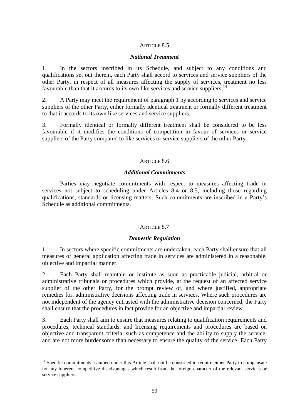#### *National Treatment*

1. In the sectors inscribed in its Schedule, and subject to any conditions and qualifications set out therein, each Party shall accord to services and service suppliers of the other Party, in respect of all measures affecting the supply of services, treatment no less favourable than that it accords to its own like services and service suppliers.<sup>14</sup>

2. A Party may meet the requirement of paragraph 1 by according to services and service suppliers of the other Party, either formally identical treatment or formally different treatment to that it accords to its own like services and service suppliers.

3. Formally identical or formally different treatment shall be considered to be less favourable if it modifies the conditions of competition in favour of services or service suppliers of the Party compared to like services or service suppliers of the other Party.

#### ARTICLE 8.6

### *Additional Commitments*

Parties may negotiate commitments with respect to measures affecting trade in services not subject to scheduling under Articles 8.4 or 8.5, including those regarding qualifications, standards or licensing matters. Such commitments are inscribed in a Party's Schedule as additional commitments.

#### ARTICLE 8.7

#### *Domestic Regulation*

1. In sectors where specific commitments are undertaken, each Party shall ensure that all measures of general application affecting trade in services are administered in a reasonable, objective and impartial manner.

2. Each Party shall maintain or institute as soon as practicable judicial, arbitral or administrative tribunals or procedures which provide, at the request of an affected service supplier of the other Party, for the prompt review of, and where justified, appropriate remedies for, administrative decisions affecting trade in services. Where such procedures are not independent of the agency entrusted with the administrative decision concerned, the Party shall ensure that the procedures in fact provide for an objective and impartial review.

3. Each Party shall aim to ensure that measures relating to qualification requirements and procedures, technical standards, and licensing requirements and procedures are based on objective and transparent criteria, such as competence and the ability to supply the service, and are not more burdensome than necessary to ensure the quality of the service. Each Party

-

<sup>&</sup>lt;sup>14</sup> Specific commitments assumed under this Article shall not be construed to require either Party to compensate for any inherent competitive disadvantages which result from the foreign character of the relevant services or service suppliers.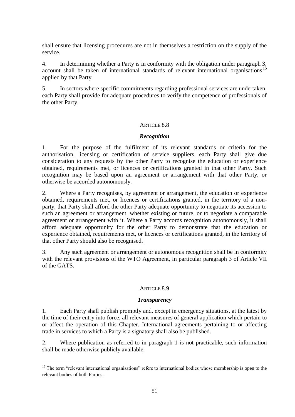shall ensure that licensing procedures are not in themselves a restriction on the supply of the service.

4. In determining whether a Party is in conformity with the obligation under paragraph 3, account shall be taken of international standards of relevant international organisations<sup>15</sup> applied by that Party.

5. In sectors where specific commitments regarding professional services are undertaken, each Party shall provide for adequate procedures to verify the competence of professionals of the other Party.

## ARTICLE 8.8

### *Recognition*

1. For the purpose of the fulfilment of its relevant standards or criteria for the authorisation, licensing or certification of service suppliers, each Party shall give due consideration to any requests by the other Party to recognise the education or experience obtained, requirements met, or licences or certifications granted in that other Party. Such recognition may be based upon an agreement or arrangement with that other Party, or otherwise be accorded autonomously.

2. Where a Party recognises, by agreement or arrangement, the education or experience obtained, requirements met, or licences or certifications granted, in the territory of a nonparty, that Party shall afford the other Party adequate opportunity to negotiate its accession to such an agreement or arrangement, whether existing or future, or to negotiate a comparable agreement or arrangement with it. Where a Party accords recognition autonomously, it shall afford adequate opportunity for the other Party to demonstrate that the education or experience obtained, requirements met, or licences or certifications granted, in the territory of that other Party should also be recognised.

3. Any such agreement or arrangement or autonomous recognition shall be in conformity with the relevant provisions of the WTO Agreement, in particular paragraph 3 of Article VII of the GATS.

## ARTICLE 8.9

## *Transparency*

1. Each Party shall publish promptly and, except in emergency situations, at the latest by the time of their entry into force, all relevant measures of general application which pertain to or affect the operation of this Chapter. International agreements pertaining to or affecting trade in services to which a Party is a signatory shall also be published.

2. Where publication as referred to in paragraph 1 is not practicable, such information shall be made otherwise publicly available.

1

<sup>&</sup>lt;sup>15</sup> The term "relevant international organisations" refers to international bodies whose membership is open to the relevant bodies of both Parties.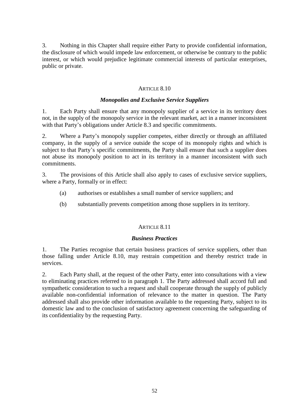3. Nothing in this Chapter shall require either Party to provide confidential information, the disclosure of which would impede law enforcement, or otherwise be contrary to the public interest, or which would prejudice legitimate commercial interests of particular enterprises, public or private.

# ARTICLE 8.10

## *Monopolies and Exclusive Service Suppliers*

1. Each Party shall ensure that any monopoly supplier of a service in its territory does not, in the supply of the monopoly service in the relevant market, act in a manner inconsistent with that Party's obligations under Article 8.3 and specific commitments.

2. Where a Party's monopoly supplier competes, either directly or through an affiliated company, in the supply of a service outside the scope of its monopoly rights and which is subject to that Party's specific commitments, the Party shall ensure that such a supplier does not abuse its monopoly position to act in its territory in a manner inconsistent with such commitments.

3. The provisions of this Article shall also apply to cases of exclusive service suppliers, where a Party, formally or in effect:

- (a) authorises or establishes a small number of service suppliers; and
- (b) substantially prevents competition among those suppliers in its territory.

## ARTICLE 8.11

## *Business Practices*

1. The Parties recognise that certain business practices of service suppliers, other than those falling under Article 8.10, may restrain competition and thereby restrict trade in services.

2. Each Party shall, at the request of the other Party, enter into consultations with a view to eliminating practices referred to in paragraph 1. The Party addressed shall accord full and sympathetic consideration to such a request and shall cooperate through the supply of publicly available non-confidential information of relevance to the matter in question. The Party addressed shall also provide other information available to the requesting Party, subject to its domestic law and to the conclusion of satisfactory agreement concerning the safeguarding of its confidentiality by the requesting Party.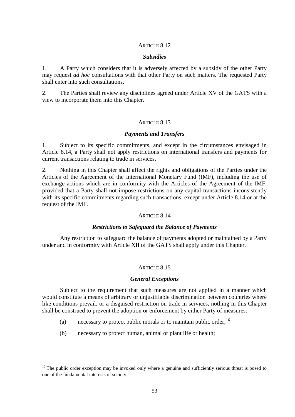#### *Subsidies*

1. A Party which considers that it is adversely affected by a subsidy of the other Party may request *ad hoc* consultations with that other Party on such matters. The requested Party shall enter into such consultations.

2. The Parties shall review any disciplines agreed under Article XV of the GATS with a view to incorporate them into this Chapter.

### ARTICLE 8.13

#### *Payments and Transfers*

1. Subject to its specific commitments, and except in the circumstances envisaged in Article 8.14, a Party shall not apply restrictions on international transfers and payments for current transactions relating to trade in services.

2. Nothing in this Chapter shall affect the rights and obligations of the Parties under the Articles of the Agreement of the International Monetary Fund (IMF), including the use of exchange actions which are in conformity with the Articles of the Agreement of the IMF, provided that a Party shall not impose restrictions on any capital transactions inconsistently with its specific commitments regarding such transactions, except under Article 8.14 or at the request of the IMF.

#### ARTICLE 8.14

### *Restrictions to Safeguard the Balance of Payments*

Any restriction to safeguard the balance of payments adopted or maintained by a Party under and in conformity with Article XII of the GATS shall apply under this Chapter.

#### ARTICLE 8.15

#### *General Exceptions*

Subject to the requirement that such measures are not applied in a manner which would constitute a means of arbitrary or unjustifiable discrimination between countries where like conditions prevail, or a disguised restriction on trade in services, nothing in this Chapter shall be construed to prevent the adoption or enforcement by either Party of measures:

- (a) necessary to protect public morals or to maintain public order;  $^{16}$
- (b) necessary to protect human, animal or plant life or health;

1

<sup>&</sup>lt;sup>16</sup> The public order exception may be invoked only where a genuine and sufficiently serious threat is posed to one of the fundamental interests of society.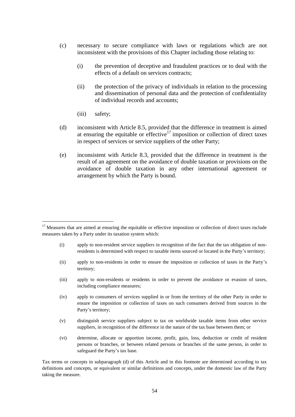- (c) necessary to secure compliance with laws or regulations which are not inconsistent with the provisions of this Chapter including those relating to:
	- (i) the prevention of deceptive and fraudulent practices or to deal with the effects of a default on services contracts;
	- (ii) the protection of the privacy of individuals in relation to the processing and dissemination of personal data and the protection of confidentiality of individual records and accounts;
	- (iii) safety;

-

- (d) inconsistent with Article 8.5, provided that the difference in treatment is aimed at ensuring the equitable or effective<sup>17</sup> imposition or collection of direct taxes in respect of services or service suppliers of the other Party;
- (e) inconsistent with Article 8.3, provided that the difference in treatment is the result of an agreement on the avoidance of double taxation or provisions on the avoidance of double taxation in any other international agreement or arrangement by which the Party is bound.

- (i) apply to non-resident service suppliers in recognition of the fact that the tax obligation of nonresidents is determined with respect to taxable items sourced or located in the Party's territory;
- (ii) apply to non-residents in order to ensure the imposition or collection of taxes in the Party's territory;
- (iii) apply to non-residents or residents in order to prevent the avoidance or evasion of taxes, including compliance measures;
- (iv) apply to consumers of services supplied in or from the territory of the other Party in order to ensure the imposition or collection of taxes on such consumers derived from sources in the Party's territory;
- (v) distinguish service suppliers subject to tax on worldwide taxable items from other service suppliers, in recognition of the difference in the nature of the tax base between them; or
- (vi) determine, allocate or apportion income, profit, gain, loss, deduction or credit of resident persons or branches, or between related persons or branches of the same person, in order to safeguard the Party's tax base.

Tax terms or concepts in subparagraph (d) of this Article and in this footnote are determined according to tax definitions and concepts, or equivalent or similar definitions and concepts, under the domestic law of the Party taking the measure.

<sup>&</sup>lt;sup>17</sup> Measures that are aimed at ensuring the equitable or effective imposition or collection of direct taxes include measures taken by a Party under its taxation system which: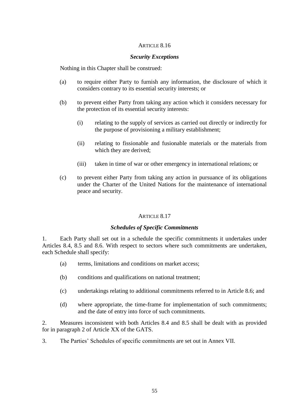## *Security Exceptions*

Nothing in this Chapter shall be construed:

- (a) to require either Party to furnish any information, the disclosure of which it considers contrary to its essential security interests; or
- (b) to prevent either Party from taking any action which it considers necessary for the protection of its essential security interests:
	- (i) relating to the supply of services as carried out directly or indirectly for the purpose of provisioning a military establishment;
	- (ii) relating to fissionable and fusionable materials or the materials from which they are derived;
	- (iii) taken in time of war or other emergency in international relations; or
- (c) to prevent either Party from taking any action in pursuance of its obligations under the Charter of the United Nations for the maintenance of international peace and security.

### ARTICLE 8.17

### *Schedules of Specific Commitments*

1. Each Party shall set out in a schedule the specific commitments it undertakes under Articles 8.4, 8.5 and 8.6. With respect to sectors where such commitments are undertaken, each Schedule shall specify:

- (a) terms, limitations and conditions on market access;
- (b) conditions and qualifications on national treatment;
- (c) undertakings relating to additional commitments referred to in Article 8.6; and
- (d) where appropriate, the time-frame for implementation of such commitments; and the date of entry into force of such commitments.

2. Measures inconsistent with both Articles 8.4 and 8.5 shall be dealt with as provided for in paragraph 2 of Article XX of the GATS.

3. The Parties' Schedules of specific commitments are set out in Annex VII.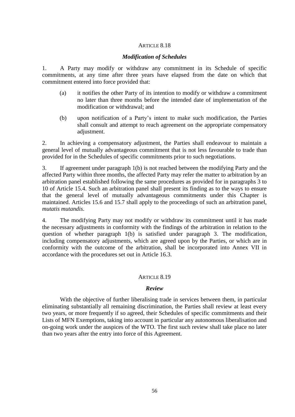### *Modification of Schedules*

1. A Party may modify or withdraw any commitment in its Schedule of specific commitments, at any time after three years have elapsed from the date on which that commitment entered into force provided that:

- (a) it notifies the other Party of its intention to modify or withdraw a commitment no later than three months before the intended date of implementation of the modification or withdrawal; and
- (b) upon notification of a Party's intent to make such modification, the Parties shall consult and attempt to reach agreement on the appropriate compensatory adjustment.

2. In achieving a compensatory adjustment, the Parties shall endeavour to maintain a general level of mutually advantageous commitment that is not less favourable to trade than provided for in the Schedules of specific commitments prior to such negotiations.

3. If agreement under paragraph 1(b) is not reached between the modifying Party and the affected Party within three months, the affected Party may refer the matter to arbitration by an arbitration panel established following the same procedures as provided for in paragraphs 3 to 10 of Article 15.4. Such an arbitration panel shall present its finding as to the ways to ensure that the general level of mutually advantageous commitments under this Chapter is maintained. Articles 15.6 and 15.7 shall apply to the proceedings of such an arbitration panel, *mutatis mutandis*.

4. The modifying Party may not modify or withdraw its commitment until it has made the necessary adjustments in conformity with the findings of the arbitration in relation to the question of whether paragraph 1(b) is satisfied under paragraph 3. The modification, including compensatory adjustments, which are agreed upon by the Parties, or which are in conformity with the outcome of the arbitration, shall be incorporated into Annex VII in accordance with the procedures set out in Article 16.3.

### ARTICLE  $8.19$

### *Review*

With the objective of further liberalising trade in services between them, in particular eliminating substantially all remaining discrimination, the Parties shall review at least every two years, or more frequently if so agreed, their Schedules of specific commitments and their Lists of MFN Exemptions, taking into account in particular any autonomous liberalisation and on-going work under the auspices of the WTO. The first such review shall take place no later than two years after the entry into force of this Agreement.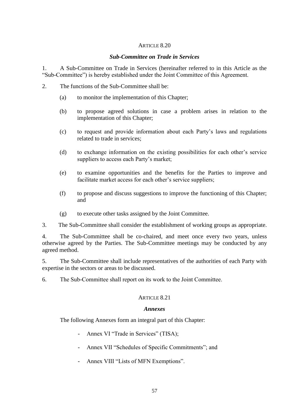## *Sub-Committee on Trade in Services*

1. A Sub-Committee on Trade in Services (hereinafter referred to in this Article as the "Sub-Committee") is hereby established under the Joint Committee of this Agreement.

- 2. The functions of the Sub-Committee shall be:
	- (a) to monitor the implementation of this Chapter;
	- (b) to propose agreed solutions in case a problem arises in relation to the implementation of this Chapter;
	- (c) to request and provide information about each Party's laws and regulations related to trade in services;
	- (d) to exchange information on the existing possibilities for each other's service suppliers to access each Party's market;
	- (e) to examine opportunities and the benefits for the Parties to improve and facilitate market access for each other's service suppliers;
	- (f) to propose and discuss suggestions to improve the functioning of this Chapter; and
	- (g) to execute other tasks assigned by the Joint Committee.
- 3. The Sub-Committee shall consider the establishment of working groups as appropriate.

4. The Sub-Committee shall be co-chaired, and meet once every two years, unless otherwise agreed by the Parties. The Sub-Committee meetings may be conducted by any agreed method.

5. The Sub-Committee shall include representatives of the authorities of each Party with expertise in the sectors or areas to be discussed.

6. The Sub-Committee shall report on its work to the Joint Committee.

## ARTICLE 8.21

# *Annexes*

The following Annexes form an integral part of this Chapter:

- Annex VI "Trade in Services" (TISA);
- Annex VII "Schedules of Specific Commitments"; and
- Annex VIII "Lists of MFN Exemptions".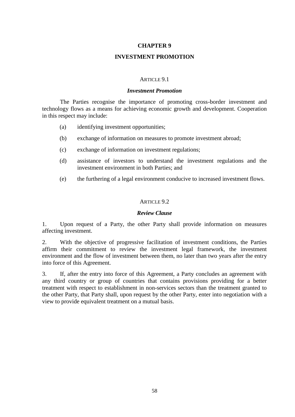# **INVESTMENT PROMOTION**

# ARTICLE 9.1

### *Investment Promotion*

The Parties recognise the importance of promoting cross-border investment and technology flows as a means for achieving economic growth and development. Cooperation in this respect may include:

- (a) identifying investment opportunities;
- (b) exchange of information on measures to promote investment abroad;
- (c) exchange of information on investment regulations;
- (d) assistance of investors to understand the investment regulations and the investment environment in both Parties; and
- (e) the furthering of a legal environment conducive to increased investment flows.

## ARTICLE 9.2

## *Review Clause*

1. Upon request of a Party, the other Party shall provide information on measures affecting investment.

2. With the objective of progressive facilitation of investment conditions, the Parties affirm their commitment to review the investment legal framework, the investment environment and the flow of investment between them, no later than two years after the entry into force of this Agreement.

3. If, after the entry into force of this Agreement, a Party concludes an agreement with any third country or group of countries that contains provisions providing for a better treatment with respect to establishment in non-services sectors than the treatment granted to the other Party, that Party shall, upon request by the other Party, enter into negotiation with a view to provide equivalent treatment on a mutual basis.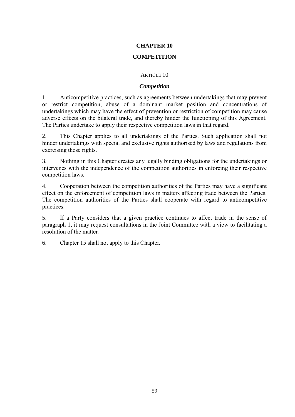# **COMPETITION**

# ARTICLE 10

# *Competition*

1. Anticompetitive practices, such as agreements between undertakings that may prevent or restrict competition, abuse of a dominant market position and concentrations of undertakings which may have the effect of prevention or restriction of competition may cause adverse effects on the bilateral trade, and thereby hinder the functioning of this Agreement. The Parties undertake to apply their respective competition laws in that regard.

2. This Chapter applies to all undertakings of the Parties. Such application shall not hinder undertakings with special and exclusive rights authorised by laws and regulations from exercising those rights.

3. Nothing in this Chapter creates any legally binding obligations for the undertakings or intervenes with the independence of the competition authorities in enforcing their respective competition laws.

4. Cooperation between the competition authorities of the Parties may have a significant effect on the enforcement of competition laws in matters affecting trade between the Parties. The competition authorities of the Parties shall cooperate with regard to anticompetitive practices.

5. If a Party considers that a given practice continues to affect trade in the sense of paragraph 1, it may request consultations in the Joint Committee with a view to facilitating a resolution of the matter.

6. Chapter 15 shall not apply to this Chapter.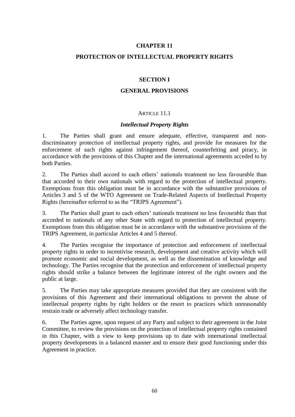## **PROTECTION OF INTELLECTUAL PROPERTY RIGHTS**

## **SECTION I**

## **GENERAL PROVISIONS**

### ARTICLE 11.1

### *Intellectual Property Rights*

1. The Parties shall grant and ensure adequate, effective, transparent and nondiscriminatory protection of intellectual property rights, and provide for measures for the enforcement of such rights against infringement thereof, counterfeiting and piracy, in accordance with the provisions of this Chapter and the international agreements acceded to by both Parties.

2. The Parties shall accord to each others' nationals treatment no less favourable than that accorded to their own nationals with regard to the protection of intellectual property. Exemptions from this obligation must be in accordance with the substantive provisions of Articles 3 and 5 of the WTO Agreement on Trade-Related Aspects of Intellectual Property Rights (hereinafter referred to as the "TRIPS Agreement").

3. The Parties shall grant to each others' nationals treatment no less favourable than that accorded to nationals of any other State with regard to protection of intellectual property. Exemptions from this obligation must be in accordance with the substantive provisions of the TRIPS Agreement, in particular Articles 4 and 5 thereof.

4. The Parties recognise the importance of protection and enforcement of intellectual property rights in order to incentivise research, development and creative activity which will promote economic and social development, as well as the dissemination of knowledge and technology. The Parties recognise that the protection and enforcement of intellectual property rights should strike a balance between the legitimate interest of the right owners and the public at large.

5. The Parties may take appropriate measures provided that they are consistent with the provisions of this Agreement and their international obligations to prevent the abuse of intellectual property rights by right holders or the resort to practices which unreasonably restrain trade or adversely affect technology transfer.

6. The Parties agree, upon request of any Party and subject to their agreement in the Joint Committee, to review the provisions on the protection of intellectual property rights contained in this Chapter, with a view to keep provisions up to date with international intellectual property developments in a balanced manner and to ensure their good functioning under this Agreement in practice.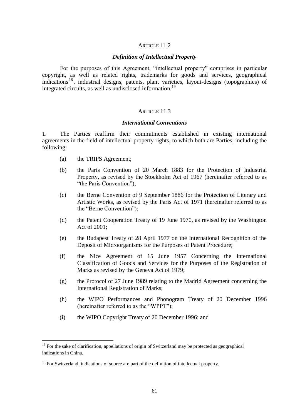### ARTICLE 11.2

#### *Definition of Intellectual Property*

For the purposes of this Agreement, "intellectual property" comprises in particular copyright, as well as related rights, trademarks for goods and services, geographical indications <sup>18</sup> , industrial designs, patents, plant varieties, layout-designs (topographies) of integrated circuits, as well as undisclosed information.<sup>19</sup>

#### ARTICLE 11.3

### *International Conventions*

1. The Parties reaffirm their commitments established in existing international agreements in the field of intellectual property rights, to which both are Parties, including the following:

(a) the TRIPS Agreement;

1

- (b) the Paris Convention of 20 March 1883 for the Protection of Industrial Property, as revised by the Stockholm Act of 1967 (hereinafter referred to as "the Paris Convention");
- (c) the Berne Convention of 9 September 1886 for the Protection of Literary and Artistic Works, as revised by the Paris Act of 1971 (hereinafter referred to as the "Berne Convention");
- (d) the Patent Cooperation Treaty of 19 June 1970, as revised by the Washington Act of 2001;
- (e) the Budapest Treaty of 28 April 1977 on the International Recognition of the Deposit of Microorganisms for the Purposes of Patent Procedure;
- (f) the Nice Agreement of 15 June 1957 Concerning the International Classification of Goods and Services for the Purposes of the Registration of Marks as revised by the Geneva Act of 1979;
- (g) the Protocol of 27 June 1989 relating to the Madrid Agreement concerning the International Registration of Marks;
- (h) the WIPO Performances and Phonogram Treaty of 20 December 1996 (hereinafter referred to as the "WPPT");
- (i) the WIPO Copyright Treaty of 20 December 1996; and

 $18$  For the sake of clarification, appellations of origin of Switzerland may be protected as geographical indications in China.

 $19$  For Switzerland, indications of source are part of the definition of intellectual property.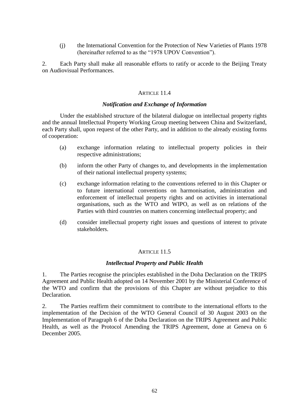(j) the International Convention for the Protection of New Varieties of Plants 1978 (hereinafter referred to as the "1978 UPOV Convention").

2. Each Party shall make all reasonable efforts to ratify or accede to the Beijing Treaty on Audiovisual Performances.

## ARTICLE 11.4

### *Notification and Exchange of Information*

Under the established structure of the bilateral dialogue on intellectual property rights and the annual Intellectual Property Working Group meeting between China and Switzerland, each Party shall, upon request of the other Party, and in addition to the already existing forms of cooperation:

- (a) exchange information relating to intellectual property policies in their respective administrations;
- (b) inform the other Party of changes to, and developments in the implementation of their national intellectual property systems;
- (c) exchange information relating to the conventions referred to in this Chapter or to future international conventions on harmonisation, administration and enforcement of intellectual property rights and on activities in international organisations, such as the WTO and WIPO, as well as on relations of the Parties with third countries on matters concerning intellectual property; and
- (d) consider intellectual property right issues and questions of interest to private stakeholders.

### ARTICLE 11.5

# *Intellectual Property and Public Health*

1. The Parties recognise the principles established in the Doha Declaration on the TRIPS Agreement and Public Health adopted on 14 November 2001 by the Ministerial Conference of the WTO and confirm that the provisions of this Chapter are without prejudice to this Declaration.

2. The Parties reaffirm their commitment to contribute to the international efforts to the implementation of the Decision of the WTO General Council of 30 August 2003 on the Implementation of Paragraph 6 of the Doha Declaration on the TRIPS Agreement and Public Health, as well as the Protocol Amending the TRIPS Agreement, done at Geneva on 6 December 2005.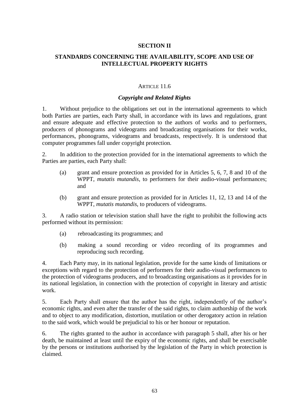# **SECTION II**

# **STANDARDS CONCERNING THE AVAILABILITY, SCOPE AND USE OF INTELLECTUAL PROPERTY RIGHTS**

### ARTICLE 11.6

### *Copyright and Related Rights*

1. Without prejudice to the obligations set out in the international agreements to which both Parties are parties, each Party shall, in accordance with its laws and regulations, grant and ensure adequate and effective protection to the authors of works and to performers, producers of phonograms and videograms and broadcasting organisations for their works, performances, phonograms, videograms and broadcasts, respectively. It is understood that computer programmes fall under copyright protection.

2. In addition to the protection provided for in the international agreements to which the Parties are parties, each Party shall:

- (a) grant and ensure protection as provided for in Articles 5, 6, 7, 8 and 10 of the WPPT, *mutatis mutandis*, to performers for their audio-visual performances; and
- (b) grant and ensure protection as provided for in Articles 11, 12, 13 and 14 of the WPPT, *mutatis mutandis*, to producers of videograms.

3. A radio station or television station shall have the right to prohibit the following acts performed without its permission:

- (a) rebroadcasting its programmes; and
- (b) making a sound recording or video recording of its programmes and reproducing such recording.

4. Each Party may, in its national legislation, provide for the same kinds of limitations or exceptions with regard to the protection of performers for their audio-visual performances to the protection of videograms producers, and to broadcasting organisations as it provides for in its national legislation, in connection with the protection of copyright in literary and artistic work.

5. Each Party shall ensure that the author has the right, independently of the author's economic rights, and even after the transfer of the said rights, to claim authorship of the work and to object to any modification, distortion, mutilation or other derogatory action in relation to the said work, which would be prejudicial to his or her honour or reputation.

6. The rights granted to the author in accordance with paragraph 5 shall, after his or her death, be maintained at least until the expiry of the economic rights, and shall be exercisable by the persons or institutions authorised by the legislation of the Party in which protection is claimed.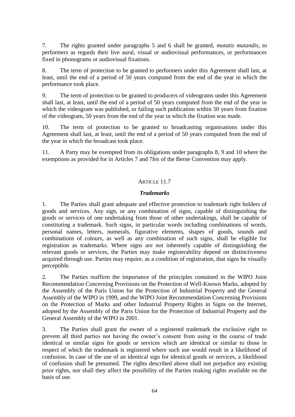7. The rights granted under paragraphs 5 and 6 shall be granted, *mutatis mutandis*, to performers as regards their live aural, visual or audiovisual performances, or performances fixed in phonograms or audiovisual fixations.

8. The term of protection to be granted to performers under this Agreement shall last, at least, until the end of a period of 50 years computed from the end of the year in which the performance took place.

9. The term of protection to be granted to producers of videograms under this Agreement shall last, at least, until the end of a period of 50 years computed from the end of the year in which the videogram was published, or failing such publication within 50 years from fixation of the videogram, 50 years from the end of the year in which the fixation was made.

10. The term of protection to be granted to broadcasting organisations under this Agreement shall last, at least, until the end of a period of 50 years computed from the end of the year in which the broadcast took place.

11. A Party may be exempted from its obligations under paragraphs 8, 9 and 10 where the exemptions as provided for in Articles 7 and 7*bis* of the Berne Convention may apply.

# ARTICLE 11.7

## *Trademarks*

1. The Parties shall grant adequate and effective protection to trademark right holders of goods and services. Any sign, or any combination of signs, capable of distinguishing the goods or services of one undertaking from those of other undertakings, shall be capable of constituting a trademark. Such signs, in particular words including combinations of words, personal names, letters, numerals, figurative elements, shapes of goods, sounds and combinations of colours, as well as any combination of such signs, shall be eligible for registration as trademarks. Where signs are not inherently capable of distinguishing the relevant goods or services, the Parties may make registerability depend on distinctiveness acquired through use. Parties may require, as a condition of registration, that signs be visually perceptible.

2. The Parties reaffirm the importance of the principles contained in the WIPO Joint Recommendation Concerning Provisions on the Protection of Well-Known Marks, adopted by the Assembly of the Paris Union for the Protection of Industrial Property and the General Assembly of the WIPO in 1999, and the WIPO Joint Recommendation Concerning Provisions on the Protection of Marks and other Industrial Property Rights in Signs on the Internet, adopted by the Assembly of the Paris Union for the Protection of Industrial Property and the General Assembly of the WIPO in 2001.

3. The Parties shall grant the owner of a registered trademark the exclusive right to prevent all third parties not having the owner's consent from using in the course of trade identical or similar signs for goods or services which are identical or similar to those in respect of which the trademark is registered where such use would result in a likelihood of confusion. In case of the use of an identical sign for identical goods or services, a likelihood of confusion shall be presumed. The rights described above shall not prejudice any existing prior rights, nor shall they affect the possibility of the Parties making rights available on the basis of use.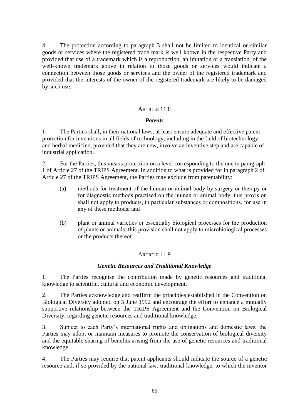4. The protection according to paragraph 3 shall not be limited to identical or similar goods or services where the registered trade mark is well known in the respective Party and provided that use of a trademark which is a reproduction, an imitation or a translation, of the well-known trademark above in relation to those goods or services would indicate a connection between those goods or services and the owner of the registered trademark and provided that the interests of the owner of the registered trademark are likely to be damaged by such use.

## ARTICLE 11.8

## *Patents*

1. The Parties shall, in their national laws, at least ensure adequate and effective patent protection for inventions in all fields of technology, including in the field of biotechnology and herbal medicine, provided that they are new, involve an inventive step and are capable of industrial application.

2. For the Parties, this means protection on a level corresponding to the one in paragraph 1 of Article 27 of the TRIPS Agreement. In addition to what is provided for in paragraph 2 of Article 27 of the TRIPS Agreement, the Parties may exclude from patentability:

- (a) methods for treatment of the human or animal body by surgery or therapy or for diagnostic methods practised on the human or animal body; this provision shall not apply to products, in particular substances or compositions, for use in any of these methods; and
- (b) plant or animal varieties or essentially biological processes for the production of plants or animals; this provision shall not apply to microbiological processes or the products thereof.

### ARTICLE 11.9

## *Genetic Resources and Traditional Knowledge*

1. The Parties recognise the contribution made by genetic resources and traditional knowledge to scientific, cultural and economic development.

2. The Parties acknowledge and reaffirm the principles established in the Convention on Biological Diversity adopted on 5 June 1992 and encourage the effort to enhance a mutually supportive relationship between the TRIPS Agreement and the Convention on Biological Diversity, regarding genetic resources and traditional knowledge.

3. Subject to each Party's international rights and obligations and domestic laws, the Parties may adopt or maintain measures to promote the conservation of biological diversity and the equitable sharing of benefits arising from the use of genetic resources and traditional knowledge.

4. The Parties may require that patent applicants should indicate the source of a genetic resource and, if so provided by the national law, traditional knowledge, to which the inventor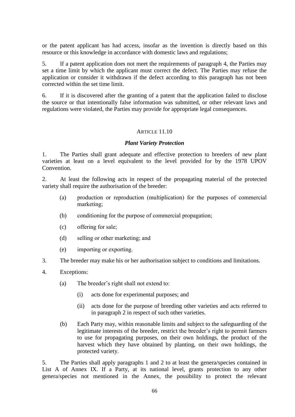or the patent applicant has had access, insofar as the invention is directly based on this resource or this knowledge in accordance with domestic laws and regulations;

5. If a patent application does not meet the requirements of paragraph 4, the Parties may set a time limit by which the applicant must correct the defect. The Parties may refuse the application or consider it withdrawn if the defect according to this paragraph has not been corrected within the set time limit.

6. If it is discovered after the granting of a patent that the application failed to disclose the source or that intentionally false information was submitted, or other relevant laws and regulations were violated, the Parties may provide for appropriate legal consequences.

### ARTICLE 11.10

### *Plant Variety Protection*

1. The Parties shall grant adequate and effective protection to breeders of new plant varieties at least on a level equivalent to the level provided for by the 1978 UPOV Convention.

2. At least the following acts in respect of the propagating material of the protected variety shall require the authorisation of the breeder:

- (a) production or reproduction (multiplication) for the purposes of commercial marketing;
- (b) conditioning for the purpose of commercial propagation;
- (c) offering for sale;
- (d) selling or other marketing; and
- (e) importing or exporting.
- 3. The breeder may make his or her authorisation subject to conditions and limitations.
- 4. Exceptions:
	- (a) The breeder's right shall not extend to:
		- (i) acts done for experimental purposes; and
		- (ii) acts done for the purpose of breeding other varieties and acts referred to in paragraph 2 in respect of such other varieties.
	- (b) Each Party may, within reasonable limits and subject to the safeguarding of the legitimate interests of the breeder, restrict the breeder's right to permit farmers to use for propagating purposes, on their own holdings, the product of the harvest which they have obtained by planting, on their own holdings, the protected variety.

5. The Parties shall apply paragraphs 1 and 2 to at least the genera/species contained in List A of Annex IX. If a Party, at its national level, grants protection to any other genera/species not mentioned in the Annex, the possibility to protect the relevant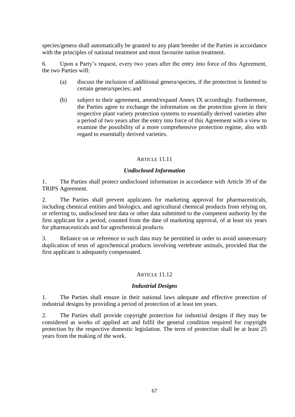species/genera shall automatically be granted to any plant breeder of the Parties in accordance with the principles of national treatment and most favourite nation treatment.

6. Upon a Party's request, every two years after the entry into force of this Agreement, the two Parties will:

- (a) discuss the inclusion of additional genera/species, if the protection is limited to certain genera/species; and
- (b) subject to their agreement, amend/expand Annex IX accordingly. Furthermore, the Parties agree to exchange the information on the protection given in their respective plant variety protection systems to essentially derived varieties after a period of two years after the entry into force of this Agreement with a view to examine the possibility of a more comprehensive protection regime, also with regard to essentially derived varieties.

## ARTICLE 11.11

# *Undisclosed Information*

1. The Parties shall protect undisclosed information in accordance with Article 39 of the TRIPS Agreement.

2. The Parties shall prevent applicants for marketing approval for pharmaceuticals, including chemical entities and biologics, and agricultural chemical products from relying on, or referring to, undisclosed test data or other data submitted to the competent authority by the first applicant for a period, counted from the date of marketing approval, of at least six years for pharmaceuticals and for agrochemical products.

3. Reliance on or reference to such data may be permitted in order to avoid unnecessary duplication of tests of agrochemical products involving vertebrate animals, provided that the first applicant is adequately compensated.

## ARTICLE 11.12

## *Industrial Designs*

1. The Parties shall ensure in their national laws adequate and effective protection of industrial designs by providing a period of protection of at least ten years.

2. The Parties shall provide copyright protection for industrial designs if they may be considered as works of applied art and fulfil the general condition required for copyright protection by the respective domestic legislation. The term of protection shall be at least 25 years from the making of the work.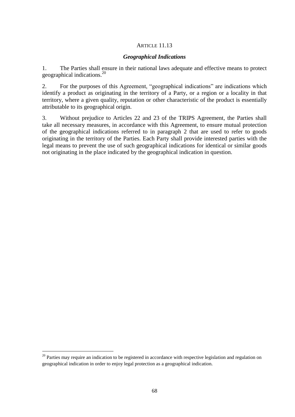## ARTICLE 11.13

## *Geographical Indications*

1. The Parties shall ensure in their national laws adequate and effective means to protect geographical indications.<sup>20</sup>

2. For the purposes of this Agreement, "geographical indications" are indications which identify a product as originating in the territory of a Party, or a region or a locality in that territory, where a given quality, reputation or other characteristic of the product is essentially attributable to its geographical origin.

3. Without prejudice to Articles 22 and 23 of the TRIPS Agreement, the Parties shall take all necessary measures, in accordance with this Agreement, to ensure mutual protection of the geographical indications referred to in paragraph 2 that are used to refer to goods originating in the territory of the Parties. Each Party shall provide interested parties with the legal means to prevent the use of such geographical indications for identical or similar goods not originating in the place indicated by the geographical indication in question.

-

 $20$  Parties may require an indication to be registered in accordance with respective legislation and regulation on geographical indication in order to enjoy legal protection as a geographical indication.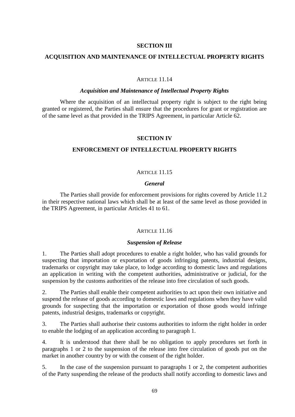## **SECTION III**

## **ACQUISITION AND MAINTENANCE OF INTELLECTUAL PROPERTY RIGHTS**

### ARTICLE 11.14

#### *Acquisition and Maintenance of Intellectual Property Rights*

Where the acquisition of an intellectual property right is subject to the right being granted or registered, the Parties shall ensure that the procedures for grant or registration are of the same level as that provided in the TRIPS Agreement, in particular Article 62.

### **SECTION IV**

### **ENFORCEMENT OF INTELLECTUAL PROPERTY RIGHTS**

### ARTICLE 11.15

#### *General*

The Parties shall provide for enforcement provisions for rights covered by Article 11.2 in their respective national laws which shall be at least of the same level as those provided in the TRIPS Agreement, in particular Articles 41 to 61.

### ARTICLE 11.16

#### *Suspension of Release*

1. The Parties shall adopt procedures to enable a right holder, who has valid grounds for suspecting that importation or exportation of goods infringing patents, industrial designs, trademarks or copyright may take place, to lodge according to domestic laws and regulations an application in writing with the competent authorities, administrative or judicial, for the suspension by the customs authorities of the release into free circulation of such goods.

2. The Parties shall enable their competent authorities to act upon their own initiative and suspend the release of goods according to domestic laws and regulations when they have valid grounds for suspecting that the importation or exportation of those goods would infringe patents, industrial designs, trademarks or copyright.

3. The Parties shall authorise their customs authorities to inform the right holder in order to enable the lodging of an application according to paragraph 1.

4. It is understood that there shall be no obligation to apply procedures set forth in paragraphs 1 or 2 to the suspension of the release into free circulation of goods put on the market in another country by or with the consent of the right holder.

5. In the case of the suspension pursuant to paragraphs 1 or 2, the competent authorities of the Party suspending the release of the products shall notify according to domestic laws and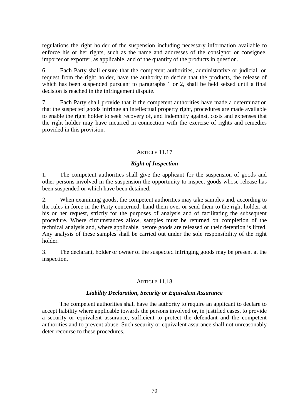regulations the right holder of the suspension including necessary information available to enforce his or her rights, such as the name and addresses of the consignor or consignee, importer or exporter, as applicable, and of the quantity of the products in question.

6. Each Party shall ensure that the competent authorities, administrative or judicial, on request from the right holder, have the authority to decide that the products, the release of which has been suspended pursuant to paragraphs 1 or 2, shall be held seized until a final decision is reached in the infringement dispute.

7. Each Party shall provide that if the competent authorities have made a determination that the suspected goods infringe an intellectual property right, procedures are made available to enable the right holder to seek recovery of, and indemnify against, costs and expenses that the right holder may have incurred in connection with the exercise of rights and remedies provided in this provision.

## ARTICLE 11.17

# *Right of Inspection*

1. The competent authorities shall give the applicant for the suspension of goods and other persons involved in the suspension the opportunity to inspect goods whose release has been suspended or which have been detained.

2. When examining goods, the competent authorities may take samples and, according to the rules in force in the Party concerned, hand them over or send them to the right holder, at his or her request, strictly for the purposes of analysis and of facilitating the subsequent procedure. Where circumstances allow, samples must be returned on completion of the technical analysis and, where applicable, before goods are released or their detention is lifted. Any analysis of these samples shall be carried out under the sole responsibility of the right holder.

3. The declarant, holder or owner of the suspected infringing goods may be present at the inspection.

## ARTICLE 11.18

### *Liability Declaration, Security or Equivalent Assurance*

The competent authorities shall have the authority to require an applicant to declare to accept liability where applicable towards the persons involved or, in justified cases, to provide a security or equivalent assurance, sufficient to protect the defendant and the competent authorities and to prevent abuse. Such security or equivalent assurance shall not unreasonably deter recourse to these procedures.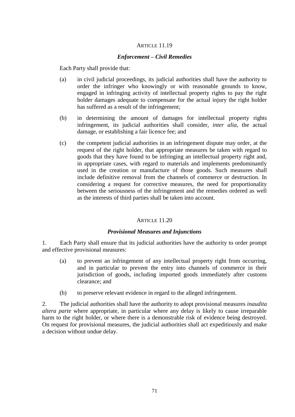## ARTICLE 11.19

### *Enforcement – Civil Remedies*

Each Party shall provide that:

- (a) in civil judicial proceedings, its judicial authorities shall have the authority to order the infringer who knowingly or with reasonable grounds to know, engaged in infringing activity of intellectual property rights to pay the right holder damages adequate to compensate for the actual injury the right holder has suffered as a result of the infringement;
- (b) in determining the amount of damages for intellectual property rights infringement, its judicial authorities shall consider, *inter alia*, the actual damage, or establishing a fair licence fee; and
- (c) the competent judicial authorities in an infringement dispute may order, at the request of the right holder, that appropriate measures be taken with regard to goods that they have found to be infringing an intellectual property right and, in appropriate cases, with regard to materials and implements predominantly used in the creation or manufacture of those goods. Such measures shall include definitive removal from the channels of commerce or destruction. In considering a request for corrective measures, the need for proportionality between the seriousness of the infringement and the remedies ordered as well as the interests of third parties shall be taken into account.

### ARTICLE 11.20

### *Provisional Measures and Injunctions*

1. Each Party shall ensure that its judicial authorities have the authority to order prompt and effective provisional measures:

- (a) to prevent an infringement of any intellectual property right from occurring, and in particular to prevent the entry into channels of commerce in their jurisdiction of goods, including imported goods immediately after customs clearance; and
- (b) to preserve relevant evidence in regard to the alleged infringement.

2. The judicial authorities shall have the authority to adopt provisional measures *inaudita altera parte* where appropriate, in particular where any delay is likely to cause irreparable harm to the right holder, or where there is a demonstrable risk of evidence being destroyed. On request for provisional measures, the judicial authorities shall act expeditiously and make a decision without undue delay.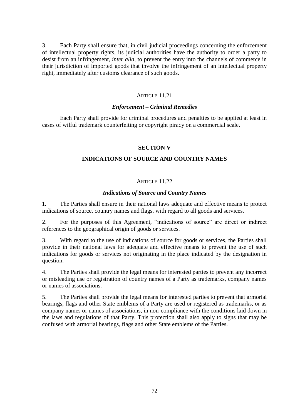3. Each Party shall ensure that, in civil judicial proceedings concerning the enforcement of intellectual property rights, its judicial authorities have the authority to order a party to desist from an infringement, *inter alia*, to prevent the entry into the channels of commerce in their jurisdiction of imported goods that involve the infringement of an intellectual property right, immediately after customs clearance of such goods.

## ARTICLE 11.21

## *Enforcement – Criminal Remedies*

Each Party shall provide for criminal procedures and penalties to be applied at least in cases of wilful trademark counterfeiting or copyright piracy on a commercial scale.

# **SECTION V**

## **INDICATIONS OF SOURCE AND COUNTRY NAMES**

# ARTICLE 11.22

## *Indications of Source and Country Names*

1. The Parties shall ensure in their national laws adequate and effective means to protect indications of source, country names and flags, with regard to all goods and services.

2. For the purposes of this Agreement, "indications of source" are direct or indirect references to the geographical origin of goods or services.

3. With regard to the use of indications of source for goods or services, the Parties shall provide in their national laws for adequate and effective means to prevent the use of such indications for goods or services not originating in the place indicated by the designation in question.

4. The Parties shall provide the legal means for interested parties to prevent any incorrect or misleading use or registration of country names of a Party as trademarks, company names or names of associations.

5. The Parties shall provide the legal means for interested parties to prevent that armorial bearings, flags and other State emblems of a Party are used or registered as trademarks, or as company names or names of associations, in non-compliance with the conditions laid down in the laws and regulations of that Party. This protection shall also apply to signs that may be confused with armorial bearings, flags and other State emblems of the Parties.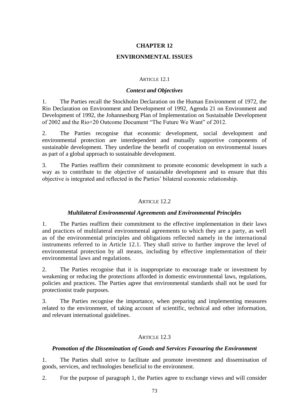## **ENVIRONMENTAL ISSUES**

#### ARTICLE 12.1

#### *Context and Objectives*

1. The Parties recall the Stockholm Declaration on the Human Environment of 1972, the Rio Declaration on Environment and Development of 1992, Agenda 21 on Environment and Development of 1992, the Johannesburg Plan of Implementation on Sustainable Development of 2002 and the Rio+20 Outcome Document "The Future We Want" of 2012.

2. The Parties recognise that economic development, social development and environmental protection are interdependent and mutually supportive components of sustainable development. They underline the benefit of cooperation on environmental issues as part of a global approach to sustainable development.

3. The Parties reaffirm their commitment to promote economic development in such a way as to contribute to the objective of sustainable development and to ensure that this objective is integrated and reflected in the Parties' bilateral economic relationship.

#### ARTICLE 12.2

#### *Multilateral Environmental Agreements and Environmental Principles*

1. The Parties reaffirm their commitment to the effective implementation in their laws and practices of multilateral environmental agreements to which they are a party, as well as of the environmental principles and obligations reflected namely in the international instruments referred to in Article 12.1. They shall strive to further improve the level of environmental protection by all means, including by effective implementation of their environmental laws and regulations.

2. The Parties recognise that it is inappropriate to encourage trade or investment by weakening or reducing the protections afforded in domestic environmental laws, regulations, policies and practices. The Parties agree that environmental standards shall not be used for protectionist trade purposes.

3. The Parties recognise the importance, when preparing and implementing measures related to the environment, of taking account of scientific, technical and other information, and relevant international guidelines.

#### ARTICLE 12.3

#### *Promotion of the Dissemination of Goods and Services Favouring the Environment*

1. The Parties shall strive to facilitate and promote investment and dissemination of goods, services, and technologies beneficial to the environment.

2. For the purpose of paragraph 1, the Parties agree to exchange views and will consider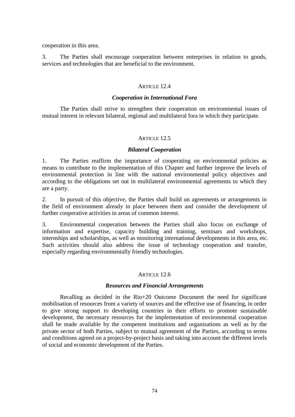cooperation in this area.

3. The Parties shall encourage cooperation between enterprises in relation to goods, services and technologies that are beneficial to the environment.

## ARTICLE 12.4

#### *Cooperation in International Fora*

The Parties shall strive to strengthen their cooperation on environmental issues of mutual interest in relevant bilateral, regional and multilateral fora in which they participate.

#### ARTICLE 12.5

#### *Bilateral Cooperation*

1. The Parties reaffirm the importance of cooperating on environmental policies as means to contribute to the implementation of this Chapter and further improve the levels of environmental protection in line with the national environmental policy objectives and according to the obligations set out in multilateral environmental agreements to which they are a party.

2. In pursuit of this objective, the Parties shall build on agreements or arrangements in the field of environment already in place between them and consider the development of further cooperative activities in areas of common interest.

3. Environmental cooperation between the Parties shall also focus on exchange of information and expertise, capacity building and training, seminars and workshops, internships and scholarships, as well as monitoring international developments in this area, etc. Such activities should also address the issue of technology cooperation and transfer, especially regarding environmentally friendly technologies.

## ARTICLE 12.6

## *Resources and Financial Arrangements*

Recalling as decided in the Rio+20 Outcome Document the need for significant mobilisation of resources from a variety of sources and the effective use of financing, in order to give strong support to developing countries in their efforts to promote sustainable development, the necessary resources for the implementation of environmental cooperation shall be made available by the competent institutions and organisations as well as by the private sector of both Parties, subject to mutual agreement of the Parties, according to terms and conditions agreed on a project-by-project basis and taking into account the different levels of social and economic development of the Parties.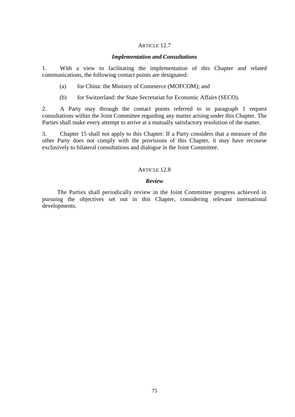#### ARTICLE 12.7

#### *Implementation and Consultations*

1. With a view to facilitating the implementation of this Chapter and related communications, the following contact points are designated:

- (a) for China: the Ministry of Commerce (MOFCOM); and
- (b) for Switzerland: the State Secretariat for Economic Affairs (SECO).

2. A Party may through the contact points referred to in paragraph 1 request consultations within the Joint Committee regarding any matter arising under this Chapter. The Parties shall make every attempt to arrive at a mutually satisfactory resolution of the matter.

3. Chapter 15 shall not apply to this Chapter. If a Party considers that a measure of the other Party does not comply with the provisions of this Chapter, it may have recourse exclusively to bilateral consultations and dialogue in the Joint Committee.

#### ARTICLE 12.8

#### *Review*

The Parties shall periodically review in the Joint Committee progress achieved in pursuing the objectives set out in this Chapter, considering relevant international developments.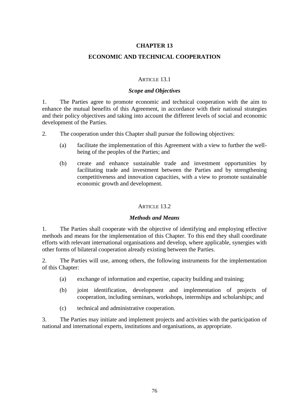## **ECONOMIC AND TECHNICAL COOPERATION**

#### ARTICLE 13.1

#### *Scope and Objectives*

1. The Parties agree to promote economic and technical cooperation with the aim to enhance the mutual benefits of this Agreement, in accordance with their national strategies and their policy objectives and taking into account the different levels of social and economic development of the Parties.

2. The cooperation under this Chapter shall pursue the following objectives:

- (a) facilitate the implementation of this Agreement with a view to further the wellbeing of the peoples of the Parties; and
- (b) create and enhance sustainable trade and investment opportunities by facilitating trade and investment between the Parties and by strengthening competitiveness and innovation capacities, with a view to promote sustainable economic growth and development.

### ARTICLE 13.2

#### *Methods and Means*

1. The Parties shall cooperate with the objective of identifying and employing effective methods and means for the implementation of this Chapter. To this end they shall coordinate efforts with relevant international organisations and develop, where applicable, synergies with other forms of bilateral cooperation already existing between the Parties.

2. The Parties will use, among others, the following instruments for the implementation of this Chapter:

- (a) exchange of information and expertise, capacity building and training;
- (b) joint identification, development and implementation of projects of cooperation, including seminars, workshops, internships and scholarships; and
- (c) technical and administrative cooperation.

3. The Parties may initiate and implement projects and activities with the participation of national and international experts, institutions and organisations, as appropriate.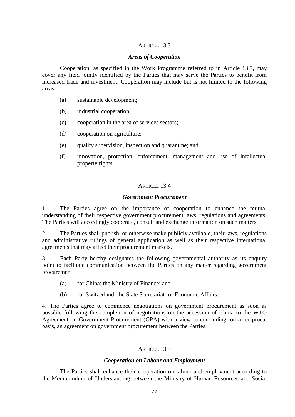### ARTICLE 13.3

### *Areas of Cooperation*

Cooperation, as specified in the Work Programme referred to in Article 13.7, may cover any field jointly identified by the Parties that may serve the Parties to benefit from increased trade and investment. Cooperation may include but is not limited to the following areas:

- (a) sustainable development;
- (b) industrial cooperation;
- (c) cooperation in the area of services sectors;
- (d) cooperation on agriculture;
- (e) quality supervision, inspection and quarantine; and
- (f) innovation, protection, enforcement, management and use of intellectual property rights.

## ARTICLE 13.4

#### *Government Procurement*

1. The Parties agree on the importance of cooperation to enhance the mutual understanding of their respective government procurement laws, regulations and agreements. The Parties will accordingly cooperate, consult and exchange information on such matters.

2. The Parties shall publish, or otherwise make publicly available, their laws, regulations and administrative rulings of general application as well as their respective international agreements that may affect their procurement markets.

3. Each Party hereby designates the following governmental authority as its enquiry point to facilitate communication between the Parties on any matter regarding government procurement:

- (a) for China: the Ministry of Finance; and
- (b) for Switzerland: the State Secretariat for Economic Affairs.

4. The Parties agree to commence negotiations on government procurement as soon as possible following the completion of negotiations on the accession of China to the WTO Agreement on Government Procurement (GPA) with a view to concluding, on a reciprocal basis, an agreement on government procurement between the Parties*.*

## ARTICLE 13.5

## *Cooperation on Labour and Employment*

The Parties shall enhance their cooperation on labour and employment according to the Memorandum of Understanding between the Ministry of Human Resources and Social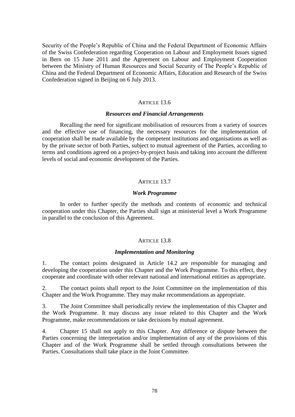Security of the People's Republic of China and the Federal Department of Economic Affairs of the Swiss Confederation regarding Cooperation on Labour and Employment Issues signed in Bern on 15 June 2011 and the Agreement on Labour and Employment Cooperation between the Ministry of Human Resources and Social Security of The People's Republic of China and the Federal Department of Economic Affairs, Education and Research of the Swiss Confederation signed in Beijing on 6 July 2013.

#### ARTICLE 13.6

#### *Resources and Financial Arrangements*

Recalling the need for significant mobilisation of resources from a variety of sources and the effective use of financing, the necessary resources for the implementation of cooperation shall be made available by the competent institutions and organisations as well as by the private sector of both Parties, subject to mutual agreement of the Parties, according to terms and conditions agreed on a project-by-project basis and taking into account the different levels of social and economic development of the Parties.

#### ARTICLE 13.7

#### *Work Programme*

In order to further specify the methods and contents of economic and technical cooperation under this Chapter, the Parties shall sign at ministerial level a Work Programme in parallel to the conclusion of this Agreement.

#### ARTICLE 13.8

#### *Implementation and Monitoring*

1. The contact points designated in Article 14.2 are responsible for managing and developing the cooperation under this Chapter and the Work Programme. To this effect, they cooperate and coordinate with other relevant national and international entities as appropriate.

2. The contact points shall report to the Joint Committee on the implementation of this Chapter and the Work Programme. They may make recommendations as appropriate.

3. The Joint Committee shall periodically review the implementation of this Chapter and the Work Programme. It may discuss any issue related to this Chapter and the Work Programme, make recommendations or take decisions by mutual agreement.

4. Chapter 15 shall not apply to this Chapter. Any difference or dispute between the Parties concerning the interpretation and/or implementation of any of the provisions of this Chapter and of the Work Programme shall be settled through consultations between the Parties. Consultations shall take place in the Joint Committee.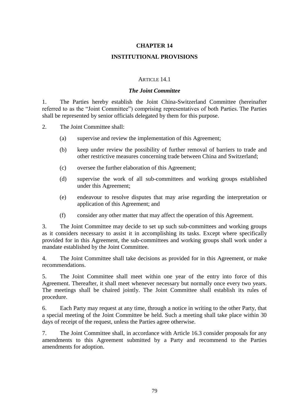## **INSTITUTIONAL PROVISIONS**

#### ARTICLE 14.1

#### *The Joint Committee*

1. The Parties hereby establish the Joint China-Switzerland Committee (hereinafter referred to as the "Joint Committee") comprising representatives of both Parties. The Parties shall be represented by senior officials delegated by them for this purpose.

2. The Joint Committee shall:

- (a) supervise and review the implementation of this Agreement;
- (b) keep under review the possibility of further removal of barriers to trade and other restrictive measures concerning trade between China and Switzerland;
- (c) oversee the further elaboration of this Agreement;
- (d) supervise the work of all sub-committees and working groups established under this Agreement;
- (e) endeavour to resolve disputes that may arise regarding the interpretation or application of this Agreement; and
- (f) consider any other matter that may affect the operation of this Agreement.

3. The Joint Committee may decide to set up such sub-committees and working groups as it considers necessary to assist it in accomplishing its tasks. Except where specifically provided for in this Agreement, the sub-committees and working groups shall work under a mandate established by the Joint Committee.

4. The Joint Committee shall take decisions as provided for in this Agreement, or make recommendations.

5. The Joint Committee shall meet within one year of the entry into force of this Agreement. Thereafter, it shall meet whenever necessary but normally once every two years. The meetings shall be chaired jointly. The Joint Committee shall establish its rules of procedure.

6. Each Party may request at any time, through a notice in writing to the other Party, that a special meeting of the Joint Committee be held. Such a meeting shall take place within 30 days of receipt of the request, unless the Parties agree otherwise.

7. The Joint Committee shall, in accordance with Article 16.3 consider proposals for any amendments to this Agreement submitted by a Party and recommend to the Parties amendments for adoption.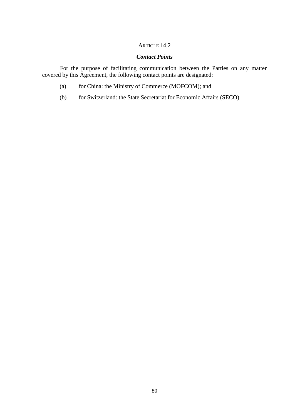## ARTICLE 14.2

# *Contact Points*

For the purpose of facilitating communication between the Parties on any matter covered by this Agreement, the following contact points are designated:

- (a) for China: the Ministry of Commerce (MOFCOM); and
- (b) for Switzerland: the State Secretariat for Economic Affairs (SECO).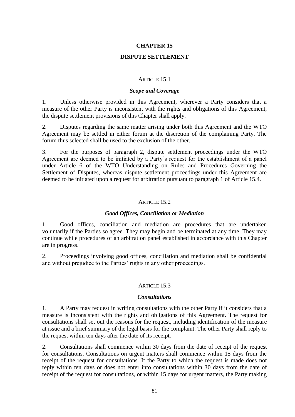### **DISPUTE SETTLEMENT**

#### ARTICLE 15.1

#### *Scope and Coverage*

1. Unless otherwise provided in this Agreement, wherever a Party considers that a measure of the other Party is inconsistent with the rights and obligations of this Agreement, the dispute settlement provisions of this Chapter shall apply.

2. Disputes regarding the same matter arising under both this Agreement and the WTO Agreement may be settled in either forum at the discretion of the complaining Party. The forum thus selected shall be used to the exclusion of the other.

3. For the purposes of paragraph 2, dispute settlement proceedings under the WTO Agreement are deemed to be initiated by a Party's request for the establishment of a panel under Article 6 of the WTO Understanding on Rules and Procedures Governing the Settlement of Disputes, whereas dispute settlement proceedings under this Agreement are deemed to be initiated upon a request for arbitration pursuant to paragraph 1 of Article 15.4.

#### ARTICLE 15.2

#### *Good Offices, Conciliation or Mediation*

1. Good offices, conciliation and mediation are procedures that are undertaken voluntarily if the Parties so agree. They may begin and be terminated at any time. They may continue while procedures of an arbitration panel established in accordance with this Chapter are in progress.

2. Proceedings involving good offices, conciliation and mediation shall be confidential and without prejudice to the Parties' rights in any other proceedings.

#### ARTICLE 15.3

#### *Consultations*

1. A Party may request in writing consultations with the other Party if it considers that a measure is inconsistent with the rights and obligations of this Agreement. The request for consultations shall set out the reasons for the request, including identification of the measure at issue and a brief summary of the legal basis for the complaint. The other Party shall reply to the request within ten days after the date of its receipt.

2. Consultations shall commence within 30 days from the date of receipt of the request for consultations. Consultations on urgent matters shall commence within 15 days from the receipt of the request for consultations. If the Party to which the request is made does not reply within ten days or does not enter into consultations within 30 days from the date of receipt of the request for consultations, or within 15 days for urgent matters, the Party making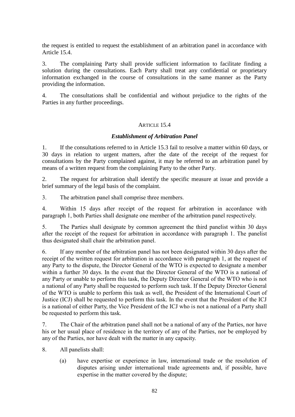the request is entitled to request the establishment of an arbitration panel in accordance with Article 15.4.

3. The complaining Party shall provide sufficient information to facilitate finding a solution during the consultations. Each Party shall treat any confidential or proprietary information exchanged in the course of consultations in the same manner as the Party providing the information.

4. The consultations shall be confidential and without prejudice to the rights of the Parties in any further proceedings.

## ARTICLE 15.4

## *Establishment of Arbitration Panel*

1. If the consultations referred to in Article 15.3 fail to resolve a matter within 60 days, or 30 days in relation to urgent matters, after the date of the receipt of the request for consultations by the Party complained against, it may be referred to an arbitration panel by means of a written request from the complaining Party to the other Party.

2. The request for arbitration shall identify the specific measure at issue and provide a brief summary of the legal basis of the complaint.

3. The arbitration panel shall comprise three members.

4. Within 15 days after receipt of the request for arbitration in accordance with paragraph 1, both Parties shall designate one member of the arbitration panel respectively.

5. The Parties shall designate by common agreement the third panelist within 30 days after the receipt of the request for arbitration in accordance with paragraph 1. The panelist thus designated shall chair the arbitration panel.

6. If any member of the arbitration panel has not been designated within 30 days after the receipt of the written request for arbitration in accordance with paragraph 1, at the request of any Party to the dispute, the Director General of the WTO is expected to designate a member within a further 30 days. In the event that the Director General of the WTO is a national of any Party or unable to perform this task, the Deputy Director General of the WTO who is not a national of any Party shall be requested to perform such task. If the Deputy Director General of the WTO is unable to perform this task as well, the President of the International Court of Justice (ICJ) shall be requested to perform this task. In the event that the President of the ICJ is a national of either Party, the Vice President of the ICJ who is not a national of a Party shall be requested to perform this task.

7. The Chair of the arbitration panel shall not be a national of any of the Parties, nor have his or her usual place of residence in the territory of any of the Parties, nor be employed by any of the Parties, nor have dealt with the matter in any capacity.

8. All panelists shall:

(a) have expertise or experience in law, international trade or the resolution of disputes arising under international trade agreements and, if possible, have expertise in the matter covered by the dispute;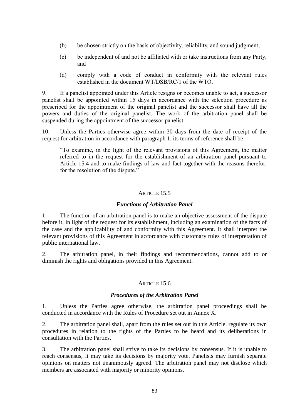- (b) be chosen strictly on the basis of objectivity, reliability, and sound judgment;
- (c) be independent of and not be affiliated with or take instructions from any Party; and
- (d) comply with a code of conduct in conformity with the relevant rules established in the document WT/DSB/RC/1 of the WTO.

9. If a panelist appointed under this Article resigns or becomes unable to act, a successor panelist shall be appointed within 15 days in accordance with the selection procedure as prescribed for the appointment of the original panelist and the successor shall have all the powers and duties of the original panelist. The work of the arbitration panel shall be suspended during the appointment of the successor panelist.

10. Unless the Parties otherwise agree within 30 days from the date of receipt of the request for arbitration in accordance with paragraph 1, its terms of reference shall be:

"To examine, in the light of the relevant provisions of this Agreement, the matter referred to in the request for the establishment of an arbitration panel pursuant to Article 15.4 and to make findings of law and fact together with the reasons therefor, for the resolution of the dispute."

## ARTICLE 15.5

# *Functions of Arbitration Panel*

1. The function of an arbitration panel is to make an objective assessment of the dispute before it, in light of the request for its establishment, including an examination of the facts of the case and the applicability of and conformity with this Agreement. It shall interpret the relevant provisions of this Agreement in accordance with customary rules of interpretation of public international law.

2. The arbitration panel, in their findings and recommendations, cannot add to or diminish the rights and obligations provided in this Agreement.

## ARTICLE 15.6

## *Procedures of the Arbitration Panel*

1. Unless the Parties agree otherwise, the arbitration panel proceedings shall be conducted in accordance with the Rules of Procedure set out in Annex X.

2. The arbitration panel shall, apart from the rules set out in this Article, regulate its own procedures in relation to the rights of the Parties to be heard and its deliberations in consultation with the Parties.

3. The arbitration panel shall strive to take its decisions by consensus. If it is unable to reach consensus, it may take its decisions by majority vote. Panelists may furnish separate opinions on matters not unanimously agreed. The arbitration panel may not disclose which members are associated with majority or minority opinions.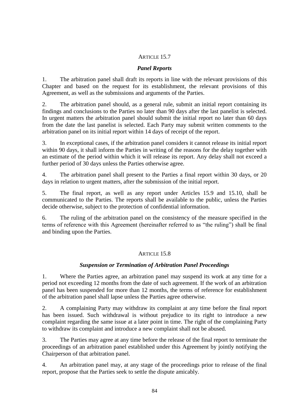## ARTICLE 15.7

## *Panel Reports*

1. The arbitration panel shall draft its reports in line with the relevant provisions of this Chapter and based on the request for its establishment, the relevant provisions of this Agreement, as well as the submissions and arguments of the Parties.

2. The arbitration panel should, as a general rule, submit an initial report containing its findings and conclusions to the Parties no later than 90 days after the last panelist is selected. In urgent matters the arbitration panel should submit the initial report no later than 60 days from the date the last panelist is selected. Each Party may submit written comments to the arbitration panel on its initial report within 14 days of receipt of the report.

3. In exceptional cases, if the arbitration panel considers it cannot release its initial report within 90 days, it shall inform the Parties in writing of the reasons for the delay together with an estimate of the period within which it will release its report. Any delay shall not exceed a further period of 30 days unless the Parties otherwise agree.

4. The arbitration panel shall present to the Parties a final report within 30 days, or 20 days in relation to urgent matters, after the submission of the initial report.

5. The final report, as well as any report under Articles 15.9 and 15.10, shall be communicated to the Parties. The reports shall be available to the public, unless the Parties decide otherwise, subject to the protection of confidential information.

6. The ruling of the arbitration panel on the consistency of the measure specified in the terms of reference with this Agreement (hereinafter referred to as "the ruling") shall be final and binding upon the Parties.

## ARTICLE 15.8

## *Suspension or Termination of Arbitration Panel Proceedings*

1. Where the Parties agree, an arbitration panel may suspend its work at any time for a period not exceeding 12 months from the date of such agreement. If the work of an arbitration panel has been suspended for more than 12 months, the terms of reference for establishment of the arbitration panel shall lapse unless the Parties agree otherwise.

2. A complaining Party may withdraw its complaint at any time before the final report has been issued. Such withdrawal is without prejudice to its right to introduce a new complaint regarding the same issue at a later point in time. The right of the complaining Party to withdraw its complaint and introduce a new complaint shall not be abused.

3. The Parties may agree at any time before the release of the final report to terminate the proceedings of an arbitration panel established under this Agreement by jointly notifying the Chairperson of that arbitration panel.

4. An arbitration panel may, at any stage of the proceedings prior to release of the final report, propose that the Parties seek to settle the dispute amicably.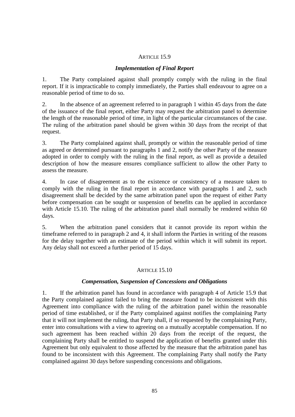#### ARTICLE 15.9

### *Implementation of Final Report*

1. The Party complained against shall promptly comply with the ruling in the final report. If it is impracticable to comply immediately, the Parties shall endeavour to agree on a reasonable period of time to do so.

2. In the absence of an agreement referred to in paragraph 1 within 45 days from the date of the issuance of the final report, either Party may request the arbitration panel to determine the length of the reasonable period of time, in light of the particular circumstances of the case. The ruling of the arbitration panel should be given within 30 days from the receipt of that request.

3. The Party complained against shall, promptly or within the reasonable period of time as agreed or determined pursuant to paragraphs 1 and 2, notify the other Party of the measure adopted in order to comply with the ruling in the final report, as well as provide a detailed description of how the measure ensures compliance sufficient to allow the other Party to assess the measure.

4. In case of disagreement as to the existence or consistency of a measure taken to comply with the ruling in the final report in accordance with paragraphs 1 and 2, such disagreement shall be decided by the same arbitration panel upon the request of either Party before compensation can be sought or suspension of benefits can be applied in accordance with Article 15.10. The ruling of the arbitration panel shall normally be rendered within 60 days.

5. When the arbitration panel considers that it cannot provide its report within the timeframe referred to in paragraph 2 and 4, it shall inform the Parties in writing of the reasons for the delay together with an estimate of the period within which it will submit its report. Any delay shall not exceed a further period of 15 days.

## ARTICLE 15.10

## *Compensation, Suspension of Concessions and Obligations*

1. If the arbitration panel has found in accordance with paragraph 4 of Article 15.9 that the Party complained against failed to bring the measure found to be inconsistent with this Agreement into compliance with the ruling of the arbitration panel within the reasonable period of time established, or if the Party complained against notifies the complaining Party that it will not implement the ruling, that Party shall, if so requested by the complaining Party, enter into consultations with a view to agreeing on a mutually acceptable compensation. If no such agreement has been reached within 20 days from the receipt of the request, the complaining Party shall be entitled to suspend the application of benefits granted under this Agreement but only equivalent to those affected by the measure that the arbitration panel has found to be inconsistent with this Agreement. The complaining Party shall notify the Party complained against 30 days before suspending concessions and obligations.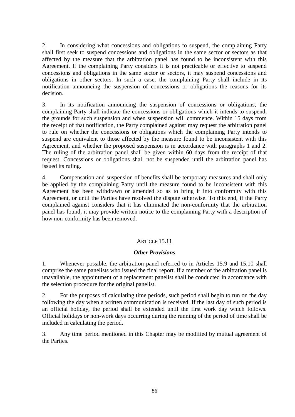2. In considering what concessions and obligations to suspend, the complaining Party shall first seek to suspend concessions and obligations in the same sector or sectors as that affected by the measure that the arbitration panel has found to be inconsistent with this Agreement. If the complaining Party considers it is not practicable or effective to suspend concessions and obligations in the same sector or sectors, it may suspend concessions and obligations in other sectors. In such a case, the complaining Party shall include in its notification announcing the suspension of concessions or obligations the reasons for its decision.

3. In its notification announcing the suspension of concessions or obligations, the complaining Party shall indicate the concessions or obligations which it intends to suspend, the grounds for such suspension and when suspension will commence. Within 15 days from the receipt of that notification, the Party complained against may request the arbitration panel to rule on whether the concessions or obligations which the complaining Party intends to suspend are equivalent to those affected by the measure found to be inconsistent with this Agreement, and whether the proposed suspension is in accordance with paragraphs 1 and 2. The ruling of the arbitration panel shall be given within 60 days from the receipt of that request. Concessions or obligations shall not be suspended until the arbitration panel has issued its ruling.

4. Compensation and suspension of benefits shall be temporary measures and shall only be applied by the complaining Party until the measure found to be inconsistent with this Agreement has been withdrawn or amended so as to bring it into conformity with this Agreement, or until the Parties have resolved the dispute otherwise. To this end, if the Party complained against considers that it has eliminated the non-conformity that the arbitration panel has found, it may provide written notice to the complaining Party with a description of how non-conformity has been removed.

## ARTICLE 15.11

## *Other Provisions*

1. Whenever possible, the arbitration panel referred to in Articles 15.9 and 15.10 shall comprise the same panelists who issued the final report. If a member of the arbitration panel is unavailable, the appointment of a replacement panelist shall be conducted in accordance with the selection procedure for the original panelist.

2. For the purposes of calculating time periods, such period shall begin to run on the day following the day when a written communication is received. If the last day of such period is an official holiday, the period shall be extended until the first work day which follows. Official holidays or non-work days occurring during the running of the period of time shall be included in calculating the period.

3. Any time period mentioned in this Chapter may be modified by mutual agreement of the Parties.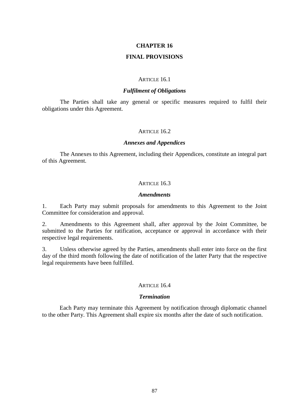### **FINAL PROVISIONS**

#### ARTICLE 16.1

### *Fulfilment of Obligations*

The Parties shall take any general or specific measures required to fulfil their obligations under this Agreement.

#### ARTICLE 16.2

#### *Annexes and Appendices*

The Annexes to this Agreement, including their Appendices, constitute an integral part of this Agreement.

### ARTICLE  $16.3$

#### *Amendments*

1. Each Party may submit proposals for amendments to this Agreement to the Joint Committee for consideration and approval.

2. Amendments to this Agreement shall, after approval by the Joint Committee, be submitted to the Parties for ratification, acceptance or approval in accordance with their respective legal requirements.

3. Unless otherwise agreed by the Parties, amendments shall enter into force on the first day of the third month following the date of notification of the latter Party that the respective legal requirements have been fulfilled.

#### ARTICLE  $16.4$

#### *Termination*

Each Party may terminate this Agreement by notification through diplomatic channel to the other Party. This Agreement shall expire six months after the date of such notification.